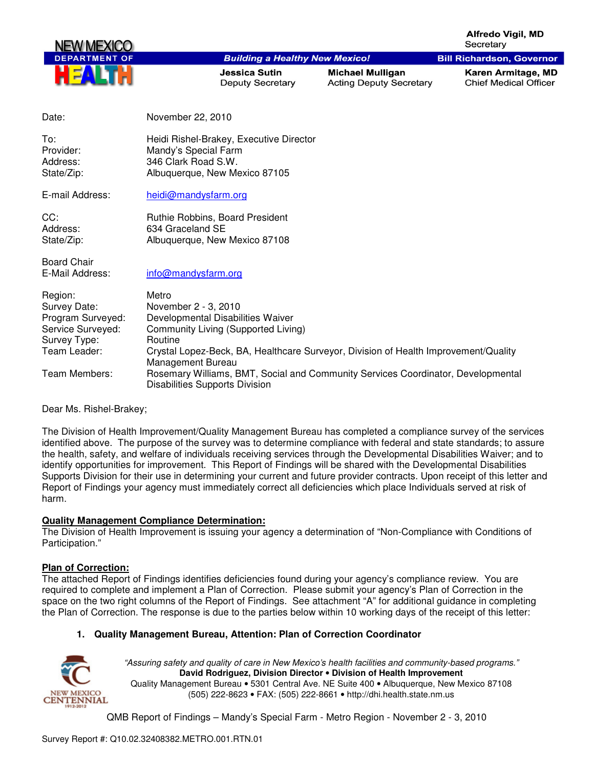**Alfredo Vigil, MD** Secretary

**Bill Richardson, Governor** 



#### **Building a Healthy New Mexico!**

Jessica Sutin Deputy Secretary

**Michael Mulligan Acting Deputy Secretary**  Karen Armitage, MD **Chief Medical Officer** 

| Date:                                                                                             | November 22, 2010                                                                                                                                                                                                                |
|---------------------------------------------------------------------------------------------------|----------------------------------------------------------------------------------------------------------------------------------------------------------------------------------------------------------------------------------|
| To:<br>Provider:<br>Address:<br>State/Zip:                                                        | Heidi Rishel-Brakey, Executive Director<br>Mandy's Special Farm<br>346 Clark Road S.W.<br>Albuquerque, New Mexico 87105                                                                                                          |
| E-mail Address:                                                                                   | heidi@mandysfarm.org                                                                                                                                                                                                             |
| CC:<br>Address:<br>State/Zip:                                                                     | Ruthie Robbins, Board President<br>634 Graceland SE<br>Albuquerque, New Mexico 87108                                                                                                                                             |
| <b>Board Chair</b><br>E-Mail Address:                                                             | info@mandysfarm.org                                                                                                                                                                                                              |
| Region:<br>Survey Date:<br>Program Surveyed:<br>Service Surveyed:<br>Survey Type:<br>Team Leader: | Metro<br>November 2 - 3, 2010<br>Developmental Disabilities Waiver<br>Community Living (Supported Living)<br>Routine<br>Crystal Lopez-Beck, BA, Healthcare Surveyor, Division of Health Improvement/Quality<br>Management Bureau |

Team Members: Rosemary Williams, BMT, Social and Community Services Coordinator, Developmental Disabilities Supports Division

Dear Ms. Rishel-Brakey;

The Division of Health Improvement/Quality Management Bureau has completed a compliance survey of the services identified above. The purpose of the survey was to determine compliance with federal and state standards; to assure the health, safety, and welfare of individuals receiving services through the Developmental Disabilities Waiver; and to identify opportunities for improvement. This Report of Findings will be shared with the Developmental Disabilities Supports Division for their use in determining your current and future provider contracts. Upon receipt of this letter and Report of Findings your agency must immediately correct all deficiencies which place Individuals served at risk of harm.

#### **Quality Management Compliance Determination:**

The Division of Health Improvement is issuing your agency a determination of "Non-Compliance with Conditions of Participation."

#### **Plan of Correction:**

The attached Report of Findings identifies deficiencies found during your agency's compliance review. You are required to complete and implement a Plan of Correction. Please submit your agency's Plan of Correction in the space on the two right columns of the Report of Findings. See attachment "A" for additional guidance in completing the Plan of Correction. The response is due to the parties below within 10 working days of the receipt of this letter:

## **1. Quality Management Bureau, Attention: Plan of Correction Coordinator**



"Assuring safety and quality of care in New Mexico's health facilities and community-based programs." **David Rodriguez, Division Director** • **Division of Health Improvement**  Quality Management Bureau • 5301 Central Ave. NE Suite 400 • Albuquerque, New Mexico 87108 (505) 222-8623 • FAX: (505) 222-8661 • http://dhi.health.state.nm.us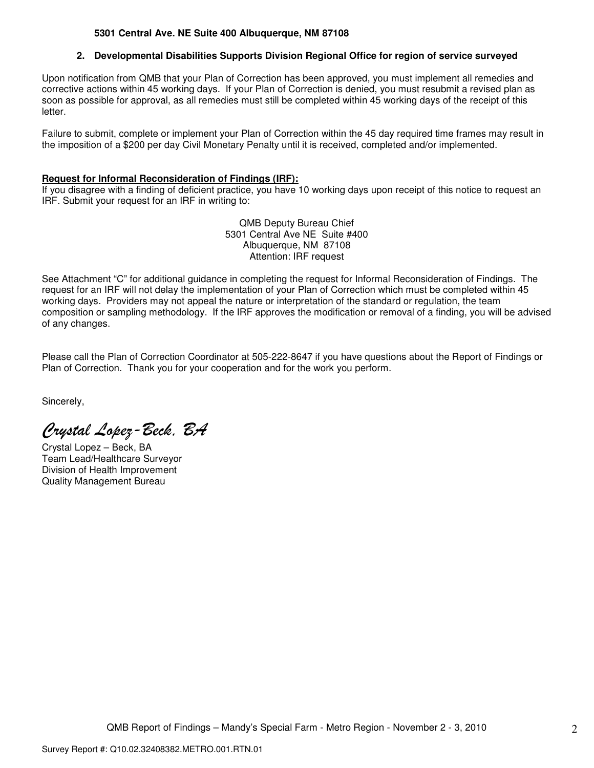## **5301 Central Ave. NE Suite 400 Albuquerque, NM 87108**

### **2. Developmental Disabilities Supports Division Regional Office for region of service surveyed**

Upon notification from QMB that your Plan of Correction has been approved, you must implement all remedies and corrective actions within 45 working days. If your Plan of Correction is denied, you must resubmit a revised plan as soon as possible for approval, as all remedies must still be completed within 45 working days of the receipt of this letter.

Failure to submit, complete or implement your Plan of Correction within the 45 day required time frames may result in the imposition of a \$200 per day Civil Monetary Penalty until it is received, completed and/or implemented.

#### **Request for Informal Reconsideration of Findings (IRF):**

If you disagree with a finding of deficient practice, you have 10 working days upon receipt of this notice to request an IRF. Submit your request for an IRF in writing to:

> QMB Deputy Bureau Chief 5301 Central Ave NE Suite #400 Albuquerque, NM 87108 Attention: IRF request

See Attachment "C" for additional guidance in completing the request for Informal Reconsideration of Findings. The request for an IRF will not delay the implementation of your Plan of Correction which must be completed within 45 working days. Providers may not appeal the nature or interpretation of the standard or regulation, the team composition or sampling methodology. If the IRF approves the modification or removal of a finding, you will be advised of any changes.

Please call the Plan of Correction Coordinator at 505-222-8647 if you have questions about the Report of Findings or Plan of Correction. Thank you for your cooperation and for the work you perform.

Sincerely,

Crystal Lopez-Beck, BA

Crystal Lopez – Beck, BA Team Lead/Healthcare Surveyor Division of Health Improvement Quality Management Bureau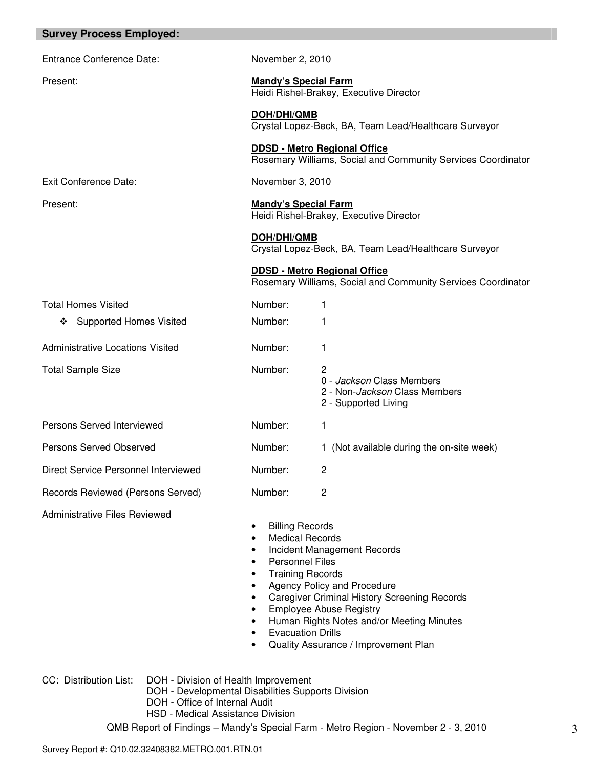| <b>Survey Process Employed:</b>                                                               |                                                                                                                                                     |                                                                                                                                                                                                                                                 |
|-----------------------------------------------------------------------------------------------|-----------------------------------------------------------------------------------------------------------------------------------------------------|-------------------------------------------------------------------------------------------------------------------------------------------------------------------------------------------------------------------------------------------------|
| Entrance Conference Date:                                                                     | November 2, 2010                                                                                                                                    |                                                                                                                                                                                                                                                 |
| Present:                                                                                      | <b>Mandy's Special Farm</b>                                                                                                                         | Heidi Rishel-Brakey, Executive Director                                                                                                                                                                                                         |
|                                                                                               | <b>DOH/DHI/QMB</b>                                                                                                                                  | Crystal Lopez-Beck, BA, Team Lead/Healthcare Surveyor                                                                                                                                                                                           |
|                                                                                               |                                                                                                                                                     | <b>DDSD - Metro Regional Office</b><br>Rosemary Williams, Social and Community Services Coordinator                                                                                                                                             |
| <b>Exit Conference Date:</b>                                                                  | November 3, 2010                                                                                                                                    |                                                                                                                                                                                                                                                 |
| Present:                                                                                      | <b>Mandy's Special Farm</b>                                                                                                                         | Heidi Rishel-Brakey, Executive Director                                                                                                                                                                                                         |
|                                                                                               | <b>DOH/DHI/QMB</b>                                                                                                                                  | Crystal Lopez-Beck, BA, Team Lead/Healthcare Surveyor                                                                                                                                                                                           |
|                                                                                               |                                                                                                                                                     | <b>DDSD - Metro Regional Office</b><br>Rosemary Williams, Social and Community Services Coordinator                                                                                                                                             |
| <b>Total Homes Visited</b>                                                                    | Number:                                                                                                                                             | 1                                                                                                                                                                                                                                               |
| <b>Supported Homes Visited</b><br>❖                                                           | Number:                                                                                                                                             | 1                                                                                                                                                                                                                                               |
| <b>Administrative Locations Visited</b>                                                       | Number:                                                                                                                                             | 1                                                                                                                                                                                                                                               |
| <b>Total Sample Size</b>                                                                      | Number:                                                                                                                                             | 2<br>0 - Jackson Class Members<br>2 - Non-Jackson Class Members<br>2 - Supported Living                                                                                                                                                         |
| Persons Served Interviewed                                                                    | Number:                                                                                                                                             | 1                                                                                                                                                                                                                                               |
| <b>Persons Served Observed</b>                                                                | Number:                                                                                                                                             | 1 (Not available during the on-site week)                                                                                                                                                                                                       |
| Direct Service Personnel Interviewed                                                          | Number:                                                                                                                                             | 2                                                                                                                                                                                                                                               |
| Records Reviewed (Persons Served)                                                             | Number:                                                                                                                                             | 2                                                                                                                                                                                                                                               |
| <b>Administrative Files Reviewed</b>                                                          | <b>Billing Records</b><br>٠<br><b>Medical Records</b><br><b>Personnel Files</b><br><b>Training Records</b><br>$\bullet$<br><b>Evacuation Drills</b> | Incident Management Records<br><b>Agency Policy and Procedure</b><br><b>Caregiver Criminal History Screening Records</b><br><b>Employee Abuse Registry</b><br>Human Rights Notes and/or Meeting Minutes<br>Quality Assurance / Improvement Plan |
| CC: Distribution List:<br>DOH - Office of Internal Audit<br>HSD - Medical Assistance Division | DOH - Division of Health Improvement<br>DOH - Developmental Disabilities Supports Division                                                          |                                                                                                                                                                                                                                                 |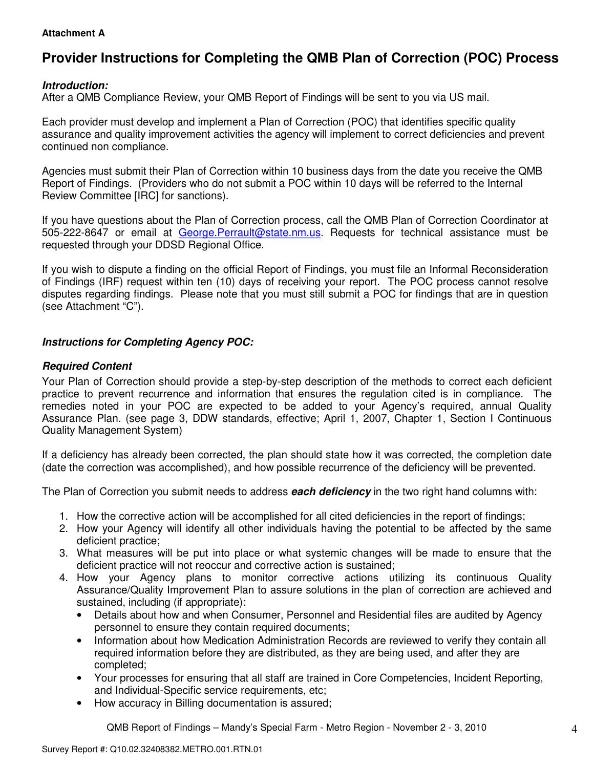## **Attachment A**

# **Provider Instructions for Completing the QMB Plan of Correction (POC) Process**

## **Introduction:**

After a QMB Compliance Review, your QMB Report of Findings will be sent to you via US mail.

Each provider must develop and implement a Plan of Correction (POC) that identifies specific quality assurance and quality improvement activities the agency will implement to correct deficiencies and prevent continued non compliance.

Agencies must submit their Plan of Correction within 10 business days from the date you receive the QMB Report of Findings. (Providers who do not submit a POC within 10 days will be referred to the Internal Review Committee [IRC] for sanctions).

If you have questions about the Plan of Correction process, call the QMB Plan of Correction Coordinator at 505-222-8647 or email at George.Perrault@state.nm.us. Requests for technical assistance must be requested through your DDSD Regional Office.

If you wish to dispute a finding on the official Report of Findings, you must file an Informal Reconsideration of Findings (IRF) request within ten (10) days of receiving your report. The POC process cannot resolve disputes regarding findings. Please note that you must still submit a POC for findings that are in question (see Attachment "C").

## **Instructions for Completing Agency POC:**

## **Required Content**

Your Plan of Correction should provide a step-by-step description of the methods to correct each deficient practice to prevent recurrence and information that ensures the regulation cited is in compliance. The remedies noted in your POC are expected to be added to your Agency's required, annual Quality Assurance Plan. (see page 3, DDW standards, effective; April 1, 2007, Chapter 1, Section I Continuous Quality Management System)

If a deficiency has already been corrected, the plan should state how it was corrected, the completion date (date the correction was accomplished), and how possible recurrence of the deficiency will be prevented.

The Plan of Correction you submit needs to address **each deficiency** in the two right hand columns with:

- 1. How the corrective action will be accomplished for all cited deficiencies in the report of findings;
- 2. How your Agency will identify all other individuals having the potential to be affected by the same deficient practice;
- 3. What measures will be put into place or what systemic changes will be made to ensure that the deficient practice will not reoccur and corrective action is sustained;
- 4. How your Agency plans to monitor corrective actions utilizing its continuous Quality Assurance/Quality Improvement Plan to assure solutions in the plan of correction are achieved and sustained, including (if appropriate):
	- Details about how and when Consumer, Personnel and Residential files are audited by Agency personnel to ensure they contain required documents;
	- Information about how Medication Administration Records are reviewed to verify they contain all required information before they are distributed, as they are being used, and after they are completed;
	- Your processes for ensuring that all staff are trained in Core Competencies, Incident Reporting, and Individual-Specific service requirements, etc;
	- How accuracy in Billing documentation is assured;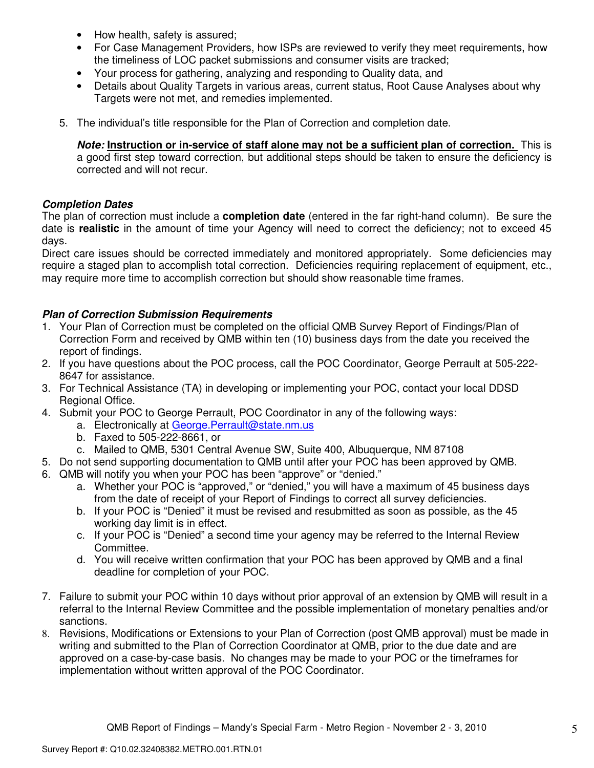- How health, safety is assured;
- For Case Management Providers, how ISPs are reviewed to verify they meet requirements, how the timeliness of LOC packet submissions and consumer visits are tracked;
- Your process for gathering, analyzing and responding to Quality data, and
- Details about Quality Targets in various areas, current status, Root Cause Analyses about why Targets were not met, and remedies implemented.
- 5. The individual's title responsible for the Plan of Correction and completion date.

**Note: Instruction or in-service of staff alone may not be a sufficient plan of correction.** This is a good first step toward correction, but additional steps should be taken to ensure the deficiency is corrected and will not recur.

## **Completion Dates**

The plan of correction must include a **completion date** (entered in the far right-hand column). Be sure the date is **realistic** in the amount of time your Agency will need to correct the deficiency; not to exceed 45 days.

Direct care issues should be corrected immediately and monitored appropriately. Some deficiencies may require a staged plan to accomplish total correction. Deficiencies requiring replacement of equipment, etc., may require more time to accomplish correction but should show reasonable time frames.

## **Plan of Correction Submission Requirements**

- 1. Your Plan of Correction must be completed on the official QMB Survey Report of Findings/Plan of Correction Form and received by QMB within ten (10) business days from the date you received the report of findings.
- 2. If you have questions about the POC process, call the POC Coordinator, George Perrault at 505-222- 8647 for assistance.
- 3. For Technical Assistance (TA) in developing or implementing your POC, contact your local DDSD Regional Office.
- 4. Submit your POC to George Perrault, POC Coordinator in any of the following ways:
	- a. Electronically at George.Perrault@state.nm.us
	- b. Faxed to 505-222-8661, or
	- c. Mailed to QMB, 5301 Central Avenue SW, Suite 400, Albuquerque, NM 87108
- 5. Do not send supporting documentation to QMB until after your POC has been approved by QMB.
- 6. QMB will notify you when your POC has been "approve" or "denied."
	- a. Whether your POC is "approved," or "denied," you will have a maximum of 45 business days from the date of receipt of your Report of Findings to correct all survey deficiencies.
	- b. If your POC is "Denied" it must be revised and resubmitted as soon as possible, as the 45 working day limit is in effect.
	- c. If your POC is "Denied" a second time your agency may be referred to the Internal Review Committee.
	- d. You will receive written confirmation that your POC has been approved by QMB and a final deadline for completion of your POC.
- 7. Failure to submit your POC within 10 days without prior approval of an extension by QMB will result in a referral to the Internal Review Committee and the possible implementation of monetary penalties and/or sanctions.
- 8. Revisions, Modifications or Extensions to your Plan of Correction (post QMB approval) must be made in writing and submitted to the Plan of Correction Coordinator at QMB, prior to the due date and are approved on a case-by-case basis. No changes may be made to your POC or the timeframes for implementation without written approval of the POC Coordinator.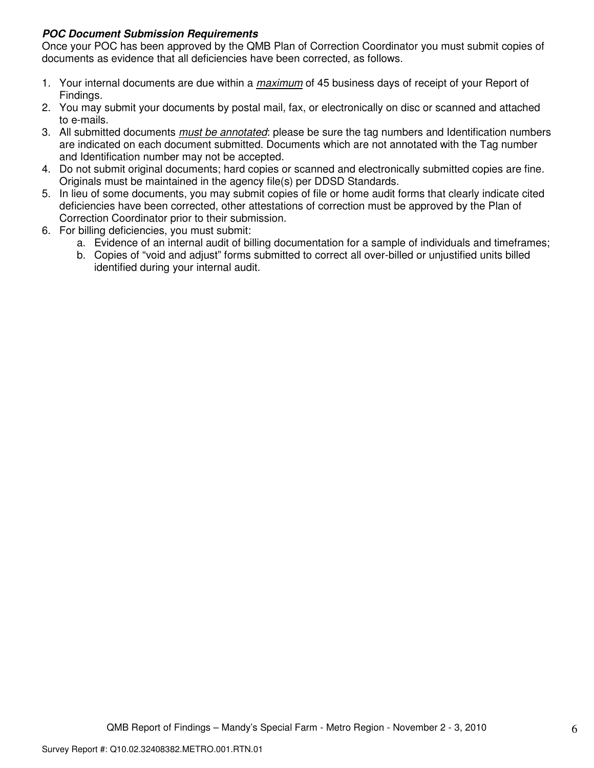## **POC Document Submission Requirements**

Once your POC has been approved by the QMB Plan of Correction Coordinator you must submit copies of documents as evidence that all deficiencies have been corrected, as follows.

- 1. Your internal documents are due within a *maximum* of 45 business days of receipt of your Report of Findings.
- 2. You may submit your documents by postal mail, fax, or electronically on disc or scanned and attached to e-mails.
- 3. All submitted documents *must be annotated*: please be sure the tag numbers and Identification numbers are indicated on each document submitted. Documents which are not annotated with the Tag number and Identification number may not be accepted.
- 4. Do not submit original documents; hard copies or scanned and electronically submitted copies are fine. Originals must be maintained in the agency file(s) per DDSD Standards.
- 5. In lieu of some documents, you may submit copies of file or home audit forms that clearly indicate cited deficiencies have been corrected, other attestations of correction must be approved by the Plan of Correction Coordinator prior to their submission.
- 6. For billing deficiencies, you must submit:
	- a. Evidence of an internal audit of billing documentation for a sample of individuals and timeframes;
	- b. Copies of "void and adjust" forms submitted to correct all over-billed or unjustified units billed identified during your internal audit.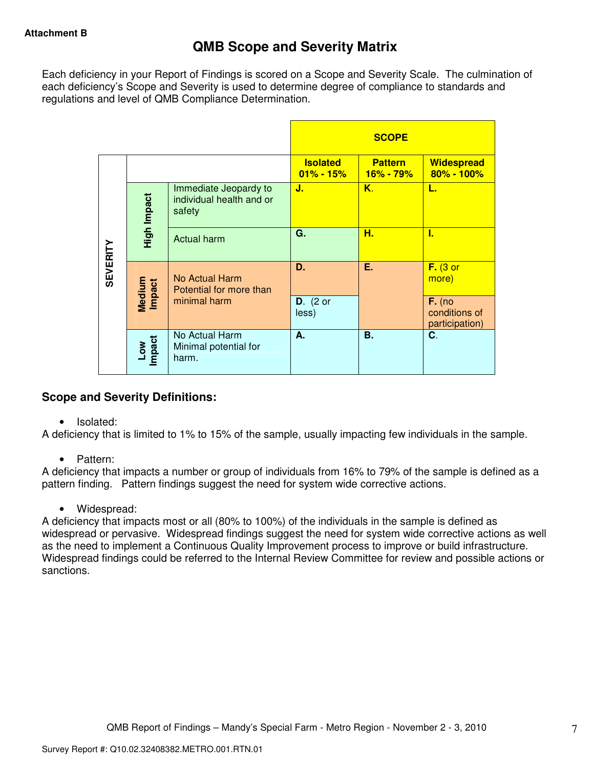Each deficiency in your Report of Findings is scored on a Scope and Severity Scale. The culmination of each deficiency's Scope and Severity is used to determine degree of compliance to standards and regulations and level of QMB Compliance Determination.

|                 |                  |                                                             |                                  | <b>SCOPE</b>                    |                                             |
|-----------------|------------------|-------------------------------------------------------------|----------------------------------|---------------------------------|---------------------------------------------|
|                 |                  |                                                             | <b>Isolated</b><br>$01\% - 15\%$ | <b>Pattern</b><br>$16\% - 79\%$ | <b>Widespread</b><br>80% - 100%             |
|                 | High Impact      | Immediate Jeopardy to<br>individual health and or<br>safety | J.                               | Κ.                              | L.                                          |
|                 |                  | <b>Actual harm</b>                                          | G.                               | н.                              | ı.                                          |
| <b>SEVERITY</b> | Medium<br>Impact | No Actual Harm<br>Potential for more than                   | D.                               | Ε.                              | $F.$ (3 or<br>more)                         |
|                 |                  | minimal harm                                                | $D.$ (2 or<br>less)              |                                 | $F.$ (no<br>conditions of<br>participation) |
|                 | Low<br>Impact    | No Actual Harm<br>Minimal potential for<br>harm.            | А.                               | <b>B.</b>                       | C.                                          |

## **Scope and Severity Definitions:**

• Isolated:

A deficiency that is limited to 1% to 15% of the sample, usually impacting few individuals in the sample.

• Pattern:

A deficiency that impacts a number or group of individuals from 16% to 79% of the sample is defined as a pattern finding. Pattern findings suggest the need for system wide corrective actions.

• Widespread:

A deficiency that impacts most or all (80% to 100%) of the individuals in the sample is defined as widespread or pervasive. Widespread findings suggest the need for system wide corrective actions as well as the need to implement a Continuous Quality Improvement process to improve or build infrastructure. Widespread findings could be referred to the Internal Review Committee for review and possible actions or sanctions.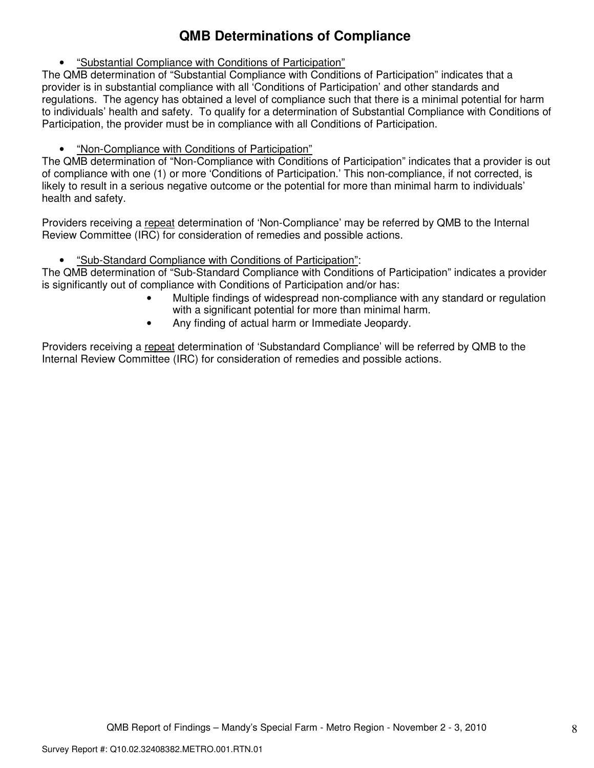# **QMB Determinations of Compliance**

• "Substantial Compliance with Conditions of Participation"

The QMB determination of "Substantial Compliance with Conditions of Participation" indicates that a provider is in substantial compliance with all 'Conditions of Participation' and other standards and regulations. The agency has obtained a level of compliance such that there is a minimal potential for harm to individuals' health and safety. To qualify for a determination of Substantial Compliance with Conditions of Participation, the provider must be in compliance with all Conditions of Participation.

• "Non-Compliance with Conditions of Participation"

The QMB determination of "Non-Compliance with Conditions of Participation" indicates that a provider is out of compliance with one (1) or more 'Conditions of Participation.' This non-compliance, if not corrected, is likely to result in a serious negative outcome or the potential for more than minimal harm to individuals' health and safety.

Providers receiving a repeat determination of 'Non-Compliance' may be referred by QMB to the Internal Review Committee (IRC) for consideration of remedies and possible actions.

• "Sub-Standard Compliance with Conditions of Participation":

The QMB determination of "Sub-Standard Compliance with Conditions of Participation" indicates a provider is significantly out of compliance with Conditions of Participation and/or has:

- Multiple findings of widespread non-compliance with any standard or regulation with a significant potential for more than minimal harm.
- Any finding of actual harm or Immediate Jeopardy.

Providers receiving a repeat determination of 'Substandard Compliance' will be referred by QMB to the Internal Review Committee (IRC) for consideration of remedies and possible actions.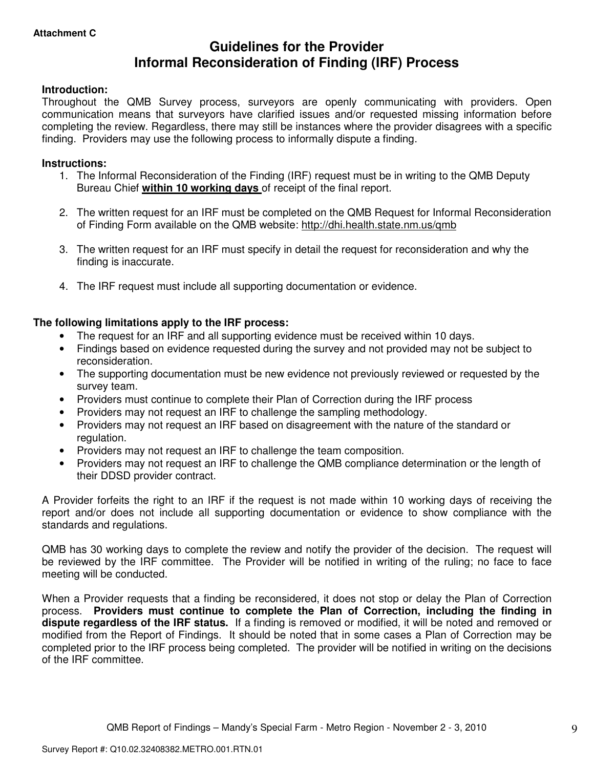## **Guidelines for the Provider Informal Reconsideration of Finding (IRF) Process**

## **Introduction:**

Throughout the QMB Survey process, surveyors are openly communicating with providers. Open communication means that surveyors have clarified issues and/or requested missing information before completing the review. Regardless, there may still be instances where the provider disagrees with a specific finding. Providers may use the following process to informally dispute a finding.

### **Instructions:**

- 1. The Informal Reconsideration of the Finding (IRF) request must be in writing to the QMB Deputy Bureau Chief **within 10 working days** of receipt of the final report.
- 2. The written request for an IRF must be completed on the QMB Request for Informal Reconsideration of Finding Form available on the QMB website: http://dhi.health.state.nm.us/qmb
- 3. The written request for an IRF must specify in detail the request for reconsideration and why the finding is inaccurate.
- 4. The IRF request must include all supporting documentation or evidence.

## **The following limitations apply to the IRF process:**

- The request for an IRF and all supporting evidence must be received within 10 days.
- Findings based on evidence requested during the survey and not provided may not be subject to reconsideration.
- The supporting documentation must be new evidence not previously reviewed or requested by the survey team.
- Providers must continue to complete their Plan of Correction during the IRF process
- Providers may not request an IRF to challenge the sampling methodology.
- Providers may not request an IRF based on disagreement with the nature of the standard or regulation.
- Providers may not request an IRF to challenge the team composition.
- Providers may not request an IRF to challenge the QMB compliance determination or the length of their DDSD provider contract.

A Provider forfeits the right to an IRF if the request is not made within 10 working days of receiving the report and/or does not include all supporting documentation or evidence to show compliance with the standards and regulations.

QMB has 30 working days to complete the review and notify the provider of the decision. The request will be reviewed by the IRF committee. The Provider will be notified in writing of the ruling; no face to face meeting will be conducted.

When a Provider requests that a finding be reconsidered, it does not stop or delay the Plan of Correction process. **Providers must continue to complete the Plan of Correction, including the finding in dispute regardless of the IRF status.** If a finding is removed or modified, it will be noted and removed or modified from the Report of Findings. It should be noted that in some cases a Plan of Correction may be completed prior to the IRF process being completed. The provider will be notified in writing on the decisions of the IRF committee.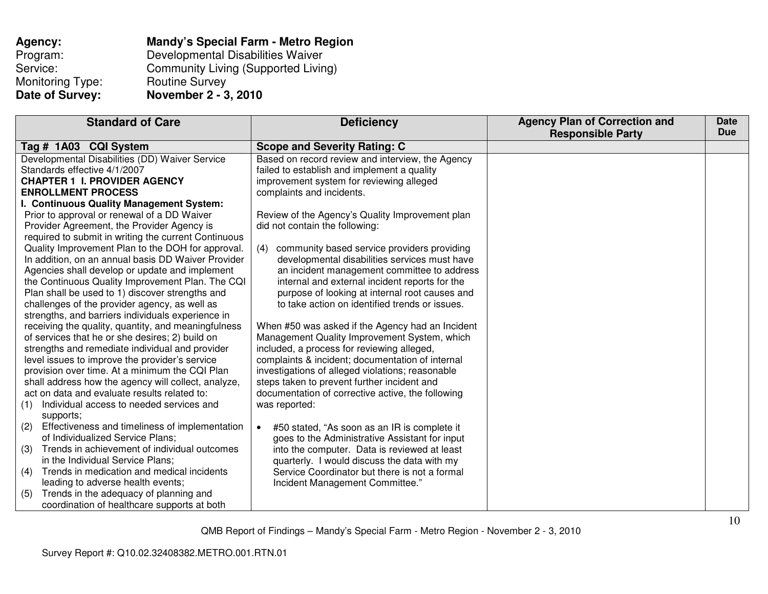| Agency:          | Mandy's Special Farm - Metro Region        |
|------------------|--------------------------------------------|
| Program:         | Developmental Disabilities Waiver          |
| Service:         | <b>Community Living (Supported Living)</b> |
| Monitoring Type: | <b>Routine Survey</b>                      |
| Date of Survey:  | November 2 - 3, 2010                       |

| <b>Standard of Care</b>                               | <b>Deficiency</b>                                  | <b>Agency Plan of Correction and</b> | <b>Date</b> |
|-------------------------------------------------------|----------------------------------------------------|--------------------------------------|-------------|
|                                                       |                                                    | <b>Responsible Party</b>             | <b>Due</b>  |
| Tag # 1A03 CQI System                                 | <b>Scope and Severity Rating: C</b>                |                                      |             |
| Developmental Disabilities (DD) Waiver Service        | Based on record review and interview, the Agency   |                                      |             |
| Standards effective 4/1/2007                          | failed to establish and implement a quality        |                                      |             |
| <b>CHAPTER 1 I. PROVIDER AGENCY</b>                   | improvement system for reviewing alleged           |                                      |             |
| <b>ENROLLMENT PROCESS</b>                             | complaints and incidents.                          |                                      |             |
| I. Continuous Quality Management System:              |                                                    |                                      |             |
| Prior to approval or renewal of a DD Waiver           | Review of the Agency's Quality Improvement plan    |                                      |             |
| Provider Agreement, the Provider Agency is            | did not contain the following:                     |                                      |             |
| required to submit in writing the current Continuous  |                                                    |                                      |             |
| Quality Improvement Plan to the DOH for approval.     | community based service providers providing<br>(4) |                                      |             |
| In addition, on an annual basis DD Waiver Provider    | developmental disabilities services must have      |                                      |             |
| Agencies shall develop or update and implement        | an incident management committee to address        |                                      |             |
| the Continuous Quality Improvement Plan. The CQI      | internal and external incident reports for the     |                                      |             |
| Plan shall be used to 1) discover strengths and       | purpose of looking at internal root causes and     |                                      |             |
| challenges of the provider agency, as well as         | to take action on identified trends or issues.     |                                      |             |
| strengths, and barriers individuals experience in     |                                                    |                                      |             |
| receiving the quality, quantity, and meaningfulness   | When #50 was asked if the Agency had an Incident   |                                      |             |
| of services that he or she desires; 2) build on       | Management Quality Improvement System, which       |                                      |             |
| strengths and remediate individual and provider       | included, a process for reviewing alleged,         |                                      |             |
| level issues to improve the provider's service        | complaints & incident; documentation of internal   |                                      |             |
| provision over time. At a minimum the CQI Plan        | investigations of alleged violations; reasonable   |                                      |             |
| shall address how the agency will collect, analyze,   | steps taken to prevent further incident and        |                                      |             |
| act on data and evaluate results related to:          | documentation of corrective active, the following  |                                      |             |
| Individual access to needed services and<br>(1)       | was reported:                                      |                                      |             |
| supports;                                             |                                                    |                                      |             |
| Effectiveness and timeliness of implementation<br>(2) | #50 stated, "As soon as an IR is complete it       |                                      |             |
| of Individualized Service Plans;                      | goes to the Administrative Assistant for input     |                                      |             |
| Trends in achievement of individual outcomes<br>(3)   | into the computer. Data is reviewed at least       |                                      |             |
| in the Individual Service Plans;                      | quarterly. I would discuss the data with my        |                                      |             |
| Trends in medication and medical incidents<br>(4)     | Service Coordinator but there is not a formal      |                                      |             |
| leading to adverse health events;                     | Incident Management Committee."                    |                                      |             |
| Trends in the adequacy of planning and<br>(5)         |                                                    |                                      |             |
| coordination of healthcare supports at both           |                                                    |                                      |             |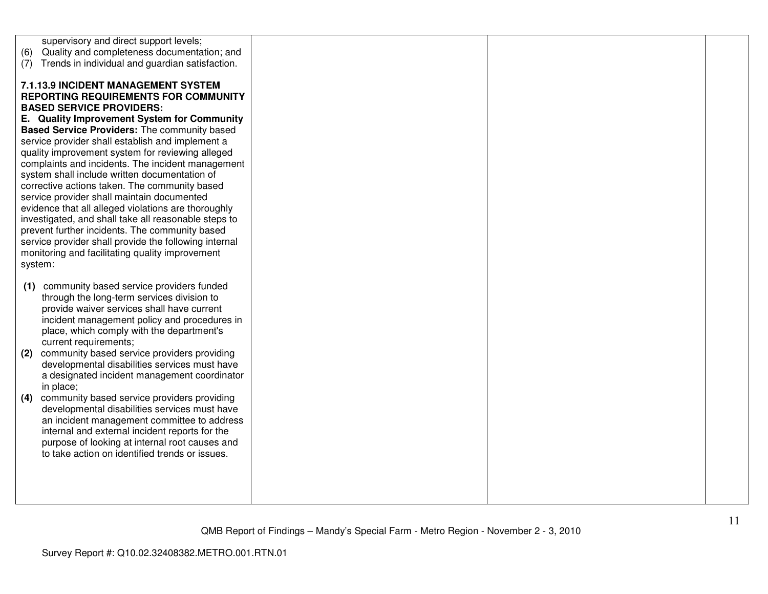| supervisory and direct support levels;                                                                       |  |  |
|--------------------------------------------------------------------------------------------------------------|--|--|
| Quality and completeness documentation; and<br>(6)<br>Trends in individual and guardian satisfaction.<br>(7) |  |  |
|                                                                                                              |  |  |
| 7.1.13.9 INCIDENT MANAGEMENT SYSTEM                                                                          |  |  |
| <b>REPORTING REQUIREMENTS FOR COMMUNITY</b>                                                                  |  |  |
| <b>BASED SERVICE PROVIDERS:</b><br>E. Quality Improvement System for Community                               |  |  |
| Based Service Providers: The community based                                                                 |  |  |
| service provider shall establish and implement a                                                             |  |  |
| quality improvement system for reviewing alleged                                                             |  |  |
| complaints and incidents. The incident management                                                            |  |  |
| system shall include written documentation of                                                                |  |  |
| corrective actions taken. The community based<br>service provider shall maintain documented                  |  |  |
| evidence that all alleged violations are thoroughly                                                          |  |  |
| investigated, and shall take all reasonable steps to                                                         |  |  |
| prevent further incidents. The community based                                                               |  |  |
| service provider shall provide the following internal<br>monitoring and facilitating quality improvement     |  |  |
| system:                                                                                                      |  |  |
|                                                                                                              |  |  |
| community based service providers funded<br>(1)                                                              |  |  |
| through the long-term services division to                                                                   |  |  |
| provide waiver services shall have current<br>incident management policy and procedures in                   |  |  |
| place, which comply with the department's                                                                    |  |  |
| current requirements;                                                                                        |  |  |
| community based service providers providing<br>(2)                                                           |  |  |
| developmental disabilities services must have                                                                |  |  |
| a designated incident management coordinator<br>in place;                                                    |  |  |
| community based service providers providing<br>(4)                                                           |  |  |
| developmental disabilities services must have                                                                |  |  |
| an incident management committee to address                                                                  |  |  |
| internal and external incident reports for the<br>purpose of looking at internal root causes and             |  |  |
| to take action on identified trends or issues.                                                               |  |  |
|                                                                                                              |  |  |
|                                                                                                              |  |  |
|                                                                                                              |  |  |
|                                                                                                              |  |  |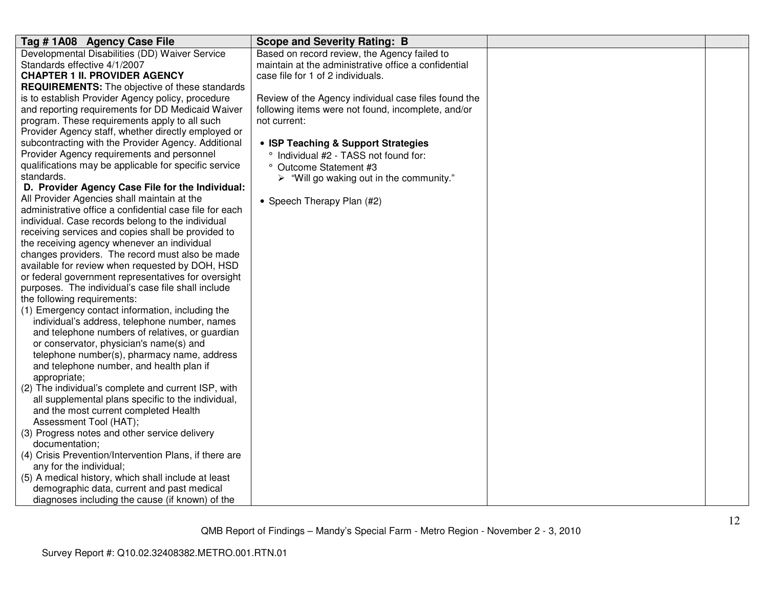| Tag #1A08 Agency Case File                              | <b>Scope and Severity Rating: B</b>                     |  |
|---------------------------------------------------------|---------------------------------------------------------|--|
| Developmental Disabilities (DD) Waiver Service          | Based on record review, the Agency failed to            |  |
| Standards effective 4/1/2007                            | maintain at the administrative office a confidential    |  |
| <b>CHAPTER 1 II. PROVIDER AGENCY</b>                    | case file for 1 of 2 individuals.                       |  |
| <b>REQUIREMENTS:</b> The objective of these standards   |                                                         |  |
| is to establish Provider Agency policy, procedure       | Review of the Agency individual case files found the    |  |
| and reporting requirements for DD Medicaid Waiver       | following items were not found, incomplete, and/or      |  |
| program. These requirements apply to all such           | not current:                                            |  |
| Provider Agency staff, whether directly employed or     |                                                         |  |
| subcontracting with the Provider Agency. Additional     | • ISP Teaching & Support Strategies                     |  |
| Provider Agency requirements and personnel              | Individual #2 - TASS not found for:                     |  |
| qualifications may be applicable for specific service   | ° Outcome Statement #3                                  |  |
| standards.                                              | $\triangleright$ "Will go waking out in the community." |  |
| D. Provider Agency Case File for the Individual:        |                                                         |  |
| All Provider Agencies shall maintain at the             | • Speech Therapy Plan (#2)                              |  |
| administrative office a confidential case file for each |                                                         |  |
| individual. Case records belong to the individual       |                                                         |  |
| receiving services and copies shall be provided to      |                                                         |  |
| the receiving agency whenever an individual             |                                                         |  |
| changes providers. The record must also be made         |                                                         |  |
| available for review when requested by DOH, HSD         |                                                         |  |
| or federal government representatives for oversight     |                                                         |  |
| purposes. The individual's case file shall include      |                                                         |  |
| the following requirements:                             |                                                         |  |
| (1) Emergency contact information, including the        |                                                         |  |
| individual's address, telephone number, names           |                                                         |  |
| and telephone numbers of relatives, or guardian         |                                                         |  |
| or conservator, physician's name(s) and                 |                                                         |  |
| telephone number(s), pharmacy name, address             |                                                         |  |
| and telephone number, and health plan if                |                                                         |  |
| appropriate;                                            |                                                         |  |
| (2) The individual's complete and current ISP, with     |                                                         |  |
| all supplemental plans specific to the individual,      |                                                         |  |
| and the most current completed Health                   |                                                         |  |
| Assessment Tool (HAT);                                  |                                                         |  |
| (3) Progress notes and other service delivery           |                                                         |  |
| documentation;                                          |                                                         |  |
| (4) Crisis Prevention/Intervention Plans, if there are  |                                                         |  |
| any for the individual;                                 |                                                         |  |
| (5) A medical history, which shall include at least     |                                                         |  |
| demographic data, current and past medical              |                                                         |  |
| diagnoses including the cause (if known) of the         |                                                         |  |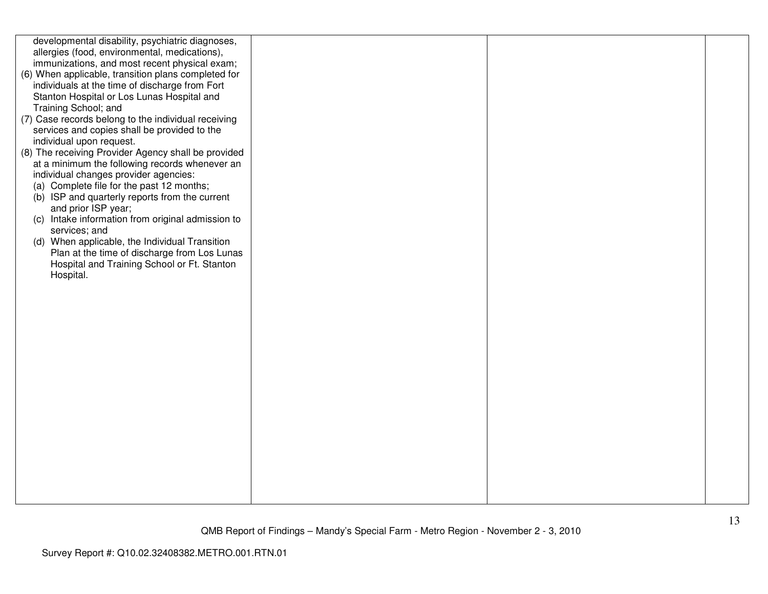| developmental disability, psychiatric diagnoses,    |  |  |
|-----------------------------------------------------|--|--|
| allergies (food, environmental, medications),       |  |  |
| immunizations, and most recent physical exam;       |  |  |
| (6) When applicable, transition plans completed for |  |  |
| individuals at the time of discharge from Fort      |  |  |
| Stanton Hospital or Los Lunas Hospital and          |  |  |
| Training School; and                                |  |  |
| (7) Case records belong to the individual receiving |  |  |
| services and copies shall be provided to the        |  |  |
| individual upon request.                            |  |  |
| (8) The receiving Provider Agency shall be provided |  |  |
| at a minimum the following records whenever an      |  |  |
| individual changes provider agencies:               |  |  |
| (a) Complete file for the past 12 months;           |  |  |
| (b) ISP and quarterly reports from the current      |  |  |
| and prior ISP year;                                 |  |  |
| (c) Intake information from original admission to   |  |  |
| services; and                                       |  |  |
| (d) When applicable, the Individual Transition      |  |  |
| Plan at the time of discharge from Los Lunas        |  |  |
| Hospital and Training School or Ft. Stanton         |  |  |
| Hospital.                                           |  |  |
|                                                     |  |  |
|                                                     |  |  |
|                                                     |  |  |
|                                                     |  |  |
|                                                     |  |  |
|                                                     |  |  |
|                                                     |  |  |
|                                                     |  |  |
|                                                     |  |  |
|                                                     |  |  |
|                                                     |  |  |
|                                                     |  |  |
|                                                     |  |  |
|                                                     |  |  |
|                                                     |  |  |
|                                                     |  |  |
|                                                     |  |  |
|                                                     |  |  |
|                                                     |  |  |
|                                                     |  |  |
|                                                     |  |  |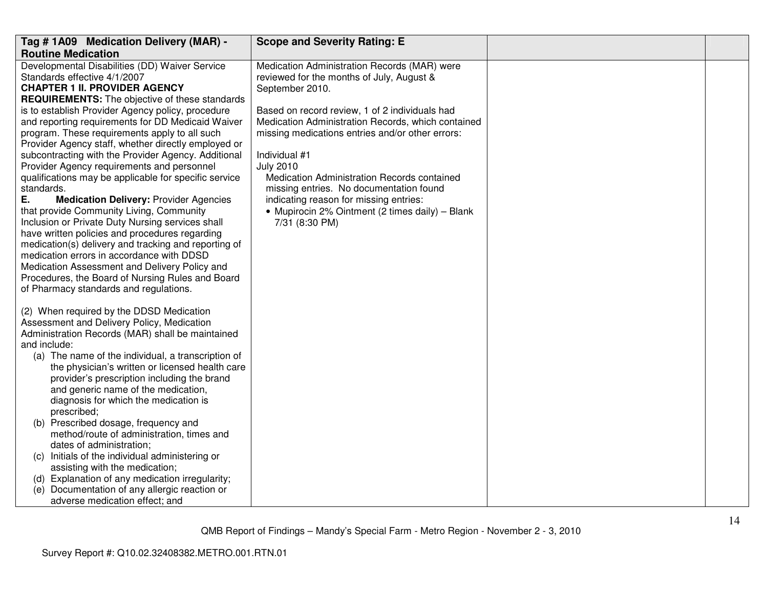| Tag # 1A09 Medication Delivery (MAR) -                                                                                                                                                                                                                                                                                                                                                                                                                                                                                                                                                                                                                                                                                                                                                                                                                                                                           | <b>Scope and Severity Rating: E</b>                                                                                                                                                                                                                                                                                                                                                                    |  |
|------------------------------------------------------------------------------------------------------------------------------------------------------------------------------------------------------------------------------------------------------------------------------------------------------------------------------------------------------------------------------------------------------------------------------------------------------------------------------------------------------------------------------------------------------------------------------------------------------------------------------------------------------------------------------------------------------------------------------------------------------------------------------------------------------------------------------------------------------------------------------------------------------------------|--------------------------------------------------------------------------------------------------------------------------------------------------------------------------------------------------------------------------------------------------------------------------------------------------------------------------------------------------------------------------------------------------------|--|
| <b>Routine Medication</b>                                                                                                                                                                                                                                                                                                                                                                                                                                                                                                                                                                                                                                                                                                                                                                                                                                                                                        |                                                                                                                                                                                                                                                                                                                                                                                                        |  |
| Developmental Disabilities (DD) Waiver Service<br>Standards effective 4/1/2007<br><b>CHAPTER 1 II. PROVIDER AGENCY</b>                                                                                                                                                                                                                                                                                                                                                                                                                                                                                                                                                                                                                                                                                                                                                                                           | Medication Administration Records (MAR) were<br>reviewed for the months of July, August &<br>September 2010.                                                                                                                                                                                                                                                                                           |  |
| <b>REQUIREMENTS:</b> The objective of these standards<br>is to establish Provider Agency policy, procedure<br>and reporting requirements for DD Medicaid Waiver<br>program. These requirements apply to all such<br>Provider Agency staff, whether directly employed or<br>subcontracting with the Provider Agency. Additional<br>Provider Agency requirements and personnel<br>qualifications may be applicable for specific service<br>standards.<br>Е.<br><b>Medication Delivery: Provider Agencies</b><br>that provide Community Living, Community<br>Inclusion or Private Duty Nursing services shall<br>have written policies and procedures regarding<br>medication(s) delivery and tracking and reporting of<br>medication errors in accordance with DDSD<br>Medication Assessment and Delivery Policy and<br>Procedures, the Board of Nursing Rules and Board<br>of Pharmacy standards and regulations. | Based on record review, 1 of 2 individuals had<br>Medication Administration Records, which contained<br>missing medications entries and/or other errors:<br>Individual #1<br><b>July 2010</b><br>Medication Administration Records contained<br>missing entries. No documentation found<br>indicating reason for missing entries:<br>• Mupirocin 2% Ointment (2 times daily) - Blank<br>7/31 (8:30 PM) |  |
| (2) When required by the DDSD Medication<br>Assessment and Delivery Policy, Medication<br>Administration Records (MAR) shall be maintained<br>and include:<br>(a) The name of the individual, a transcription of<br>the physician's written or licensed health care<br>provider's prescription including the brand<br>and generic name of the medication,<br>diagnosis for which the medication is<br>prescribed;<br>(b) Prescribed dosage, frequency and<br>method/route of administration, times and<br>dates of administration;<br>(c) Initials of the individual administering or<br>assisting with the medication;<br>(d) Explanation of any medication irregularity;<br>Documentation of any allergic reaction or<br>(e)<br>adverse medication effect; and                                                                                                                                                 |                                                                                                                                                                                                                                                                                                                                                                                                        |  |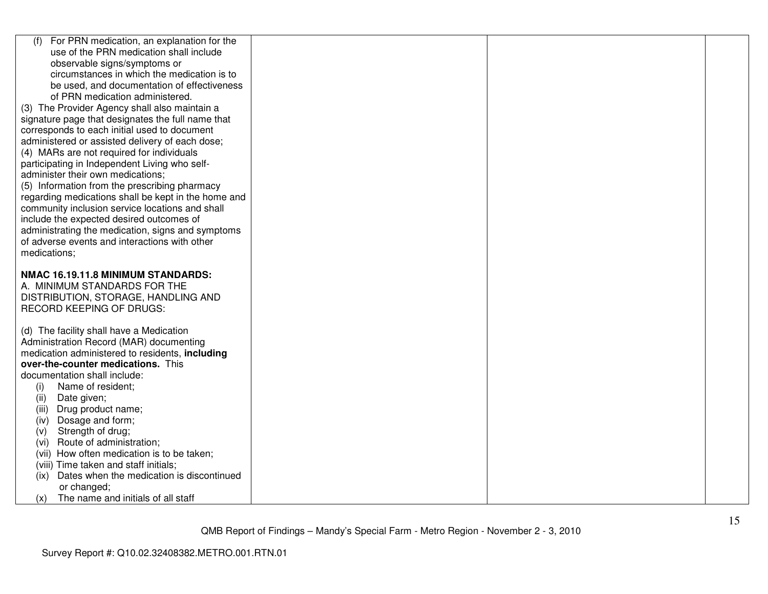| For PRN medication, an explanation for the<br>(f)   |  |  |
|-----------------------------------------------------|--|--|
| use of the PRN medication shall include             |  |  |
| observable signs/symptoms or                        |  |  |
| circumstances in which the medication is to         |  |  |
| be used, and documentation of effectiveness         |  |  |
| of PRN medication administered.                     |  |  |
| (3) The Provider Agency shall also maintain a       |  |  |
| signature page that designates the full name that   |  |  |
| corresponds to each initial used to document        |  |  |
| administered or assisted delivery of each dose;     |  |  |
| (4) MARs are not required for individuals           |  |  |
| participating in Independent Living who self-       |  |  |
| administer their own medications;                   |  |  |
| (5) Information from the prescribing pharmacy       |  |  |
| regarding medications shall be kept in the home and |  |  |
| community inclusion service locations and shall     |  |  |
| include the expected desired outcomes of            |  |  |
| administrating the medication, signs and symptoms   |  |  |
| of adverse events and interactions with other       |  |  |
| medications;                                        |  |  |
|                                                     |  |  |
| NMAC 16.19.11.8 MINIMUM STANDARDS:                  |  |  |
| A. MINIMUM STANDARDS FOR THE                        |  |  |
| DISTRIBUTION, STORAGE, HANDLING AND                 |  |  |
| <b>RECORD KEEPING OF DRUGS:</b>                     |  |  |
|                                                     |  |  |
| (d) The facility shall have a Medication            |  |  |
| Administration Record (MAR) documenting             |  |  |
| medication administered to residents, including     |  |  |
| over-the-counter medications. This                  |  |  |
| documentation shall include:                        |  |  |
| Name of resident;<br>(i)                            |  |  |
| (ii)<br>Date given;                                 |  |  |
| (iii)<br>Drug product name;                         |  |  |
| Dosage and form;<br>(iv)                            |  |  |
| Strength of drug;<br>(v)                            |  |  |
| Route of administration;<br>(vi)                    |  |  |
| (vii) How often medication is to be taken;          |  |  |
| (viii) Time taken and staff initials;               |  |  |
| Dates when the medication is discontinued<br>(ix)   |  |  |
| or changed;                                         |  |  |
| The name and initials of all staff<br>(x)           |  |  |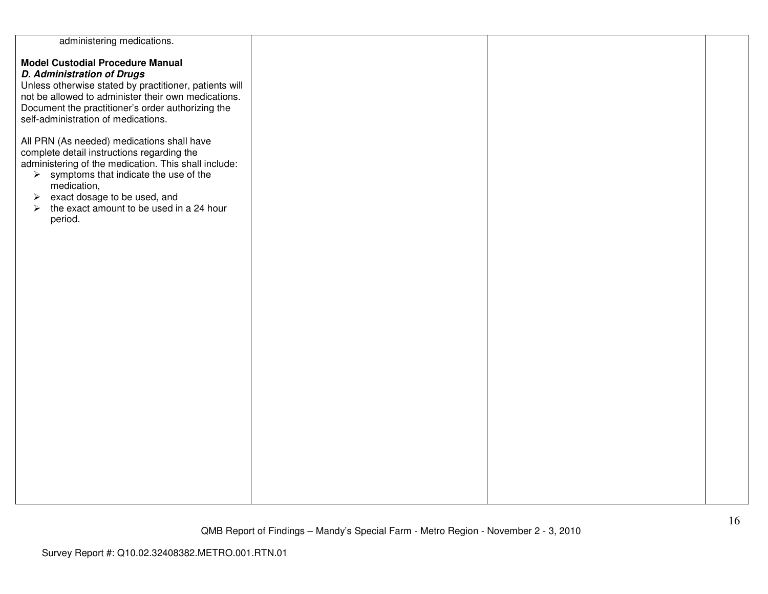| administering medications.                             |  |  |
|--------------------------------------------------------|--|--|
|                                                        |  |  |
| <b>Model Custodial Procedure Manual</b>                |  |  |
| <b>D. Administration of Drugs</b>                      |  |  |
| Unless otherwise stated by practitioner, patients will |  |  |
| not be allowed to administer their own medications.    |  |  |
|                                                        |  |  |
| Document the practitioner's order authorizing the      |  |  |
| self-administration of medications.                    |  |  |
|                                                        |  |  |
| All PRN (As needed) medications shall have             |  |  |
| complete detail instructions regarding the             |  |  |
|                                                        |  |  |
| administering of the medication. This shall include:   |  |  |
| $\triangleright$ symptoms that indicate the use of the |  |  |
| medication,                                            |  |  |
| exact dosage to be used, and<br>$\blacktriangleright$  |  |  |
| the exact amount to be used in a 24 hour<br>➤          |  |  |
| period.                                                |  |  |
|                                                        |  |  |
|                                                        |  |  |
|                                                        |  |  |
|                                                        |  |  |
|                                                        |  |  |
|                                                        |  |  |
|                                                        |  |  |
|                                                        |  |  |
|                                                        |  |  |
|                                                        |  |  |
|                                                        |  |  |
|                                                        |  |  |
|                                                        |  |  |
|                                                        |  |  |
|                                                        |  |  |
|                                                        |  |  |
|                                                        |  |  |
|                                                        |  |  |
|                                                        |  |  |
|                                                        |  |  |
|                                                        |  |  |
|                                                        |  |  |
|                                                        |  |  |
|                                                        |  |  |
|                                                        |  |  |
|                                                        |  |  |
|                                                        |  |  |
|                                                        |  |  |
|                                                        |  |  |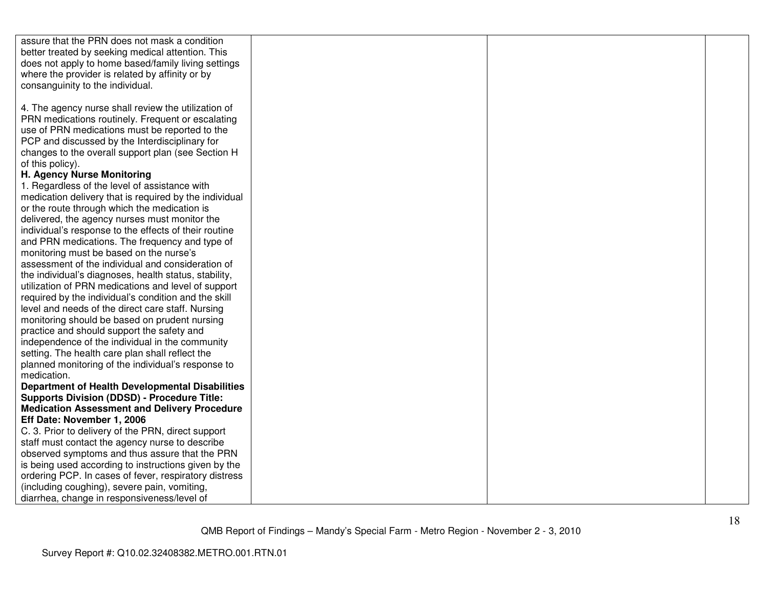| assure that the PRN does not mask a condition          |  |  |
|--------------------------------------------------------|--|--|
| better treated by seeking medical attention. This      |  |  |
| does not apply to home based/family living settings    |  |  |
| where the provider is related by affinity or by        |  |  |
| consanguinity to the individual.                       |  |  |
|                                                        |  |  |
| 4. The agency nurse shall review the utilization of    |  |  |
| PRN medications routinely. Frequent or escalating      |  |  |
| use of PRN medications must be reported to the         |  |  |
| PCP and discussed by the Interdisciplinary for         |  |  |
| changes to the overall support plan (see Section H     |  |  |
| of this policy).                                       |  |  |
| H. Agency Nurse Monitoring                             |  |  |
| 1. Regardless of the level of assistance with          |  |  |
| medication delivery that is required by the individual |  |  |
| or the route through which the medication is           |  |  |
| delivered, the agency nurses must monitor the          |  |  |
| individual's response to the effects of their routine  |  |  |
| and PRN medications. The frequency and type of         |  |  |
| monitoring must be based on the nurse's                |  |  |
| assessment of the individual and consideration of      |  |  |
| the individual's diagnoses, health status, stability,  |  |  |
| utilization of PRN medications and level of support    |  |  |
| required by the individual's condition and the skill   |  |  |
| level and needs of the direct care staff. Nursing      |  |  |
| monitoring should be based on prudent nursing          |  |  |
| practice and should support the safety and             |  |  |
| independence of the individual in the community        |  |  |
| setting. The health care plan shall reflect the        |  |  |
| planned monitoring of the individual's response to     |  |  |
| medication.                                            |  |  |
| <b>Department of Health Developmental Disabilities</b> |  |  |
| <b>Supports Division (DDSD) - Procedure Title:</b>     |  |  |
| <b>Medication Assessment and Delivery Procedure</b>    |  |  |
| Eff Date: November 1, 2006                             |  |  |
| C. 3. Prior to delivery of the PRN, direct support     |  |  |
| staff must contact the agency nurse to describe        |  |  |
| observed symptoms and thus assure that the PRN         |  |  |
| is being used according to instructions given by the   |  |  |
| ordering PCP. In cases of fever, respiratory distress  |  |  |
| (including coughing), severe pain, vomiting,           |  |  |
| diarrhea, change in responsiveness/level of            |  |  |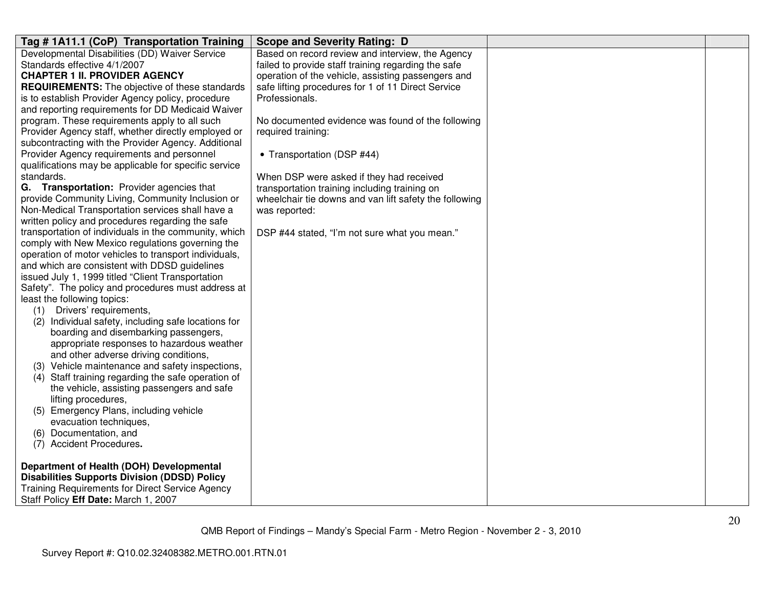| Tag # 1A11.1 (CoP) Transportation Training             | <b>Scope and Severity Rating: D</b>                    |  |
|--------------------------------------------------------|--------------------------------------------------------|--|
| Developmental Disabilities (DD) Waiver Service         | Based on record review and interview, the Agency       |  |
| Standards effective 4/1/2007                           | failed to provide staff training regarding the safe    |  |
| <b>CHAPTER 1 II. PROVIDER AGENCY</b>                   | operation of the vehicle, assisting passengers and     |  |
| <b>REQUIREMENTS:</b> The objective of these standards  | safe lifting procedures for 1 of 11 Direct Service     |  |
| is to establish Provider Agency policy, procedure      | Professionals.                                         |  |
| and reporting requirements for DD Medicaid Waiver      |                                                        |  |
| program. These requirements apply to all such          | No documented evidence was found of the following      |  |
| Provider Agency staff, whether directly employed or    | required training:                                     |  |
| subcontracting with the Provider Agency. Additional    |                                                        |  |
| Provider Agency requirements and personnel             | • Transportation (DSP #44)                             |  |
| qualifications may be applicable for specific service  |                                                        |  |
| standards.                                             | When DSP were asked if they had received               |  |
| G. Transportation: Provider agencies that              | transportation training including training on          |  |
| provide Community Living, Community Inclusion or       | wheelchair tie downs and van lift safety the following |  |
| Non-Medical Transportation services shall have a       | was reported:                                          |  |
| written policy and procedures regarding the safe       |                                                        |  |
| transportation of individuals in the community, which  | DSP #44 stated, "I'm not sure what you mean."          |  |
| comply with New Mexico regulations governing the       |                                                        |  |
| operation of motor vehicles to transport individuals,  |                                                        |  |
| and which are consistent with DDSD guidelines          |                                                        |  |
| issued July 1, 1999 titled "Client Transportation      |                                                        |  |
| Safety". The policy and procedures must address at     |                                                        |  |
| least the following topics:                            |                                                        |  |
| (1)<br>Drivers' requirements,                          |                                                        |  |
| (2) Individual safety, including safe locations for    |                                                        |  |
| boarding and disembarking passengers,                  |                                                        |  |
| appropriate responses to hazardous weather             |                                                        |  |
| and other adverse driving conditions,                  |                                                        |  |
| (3) Vehicle maintenance and safety inspections,        |                                                        |  |
| (4) Staff training regarding the safe operation of     |                                                        |  |
| the vehicle, assisting passengers and safe             |                                                        |  |
| lifting procedures,                                    |                                                        |  |
| (5) Emergency Plans, including vehicle                 |                                                        |  |
| evacuation techniques,                                 |                                                        |  |
| (6) Documentation, and                                 |                                                        |  |
| <b>Accident Procedures.</b><br>(7)                     |                                                        |  |
|                                                        |                                                        |  |
| Department of Health (DOH) Developmental               |                                                        |  |
| <b>Disabilities Supports Division (DDSD) Policy</b>    |                                                        |  |
| <b>Training Requirements for Direct Service Agency</b> |                                                        |  |
| Staff Policy Eff Date: March 1, 2007                   |                                                        |  |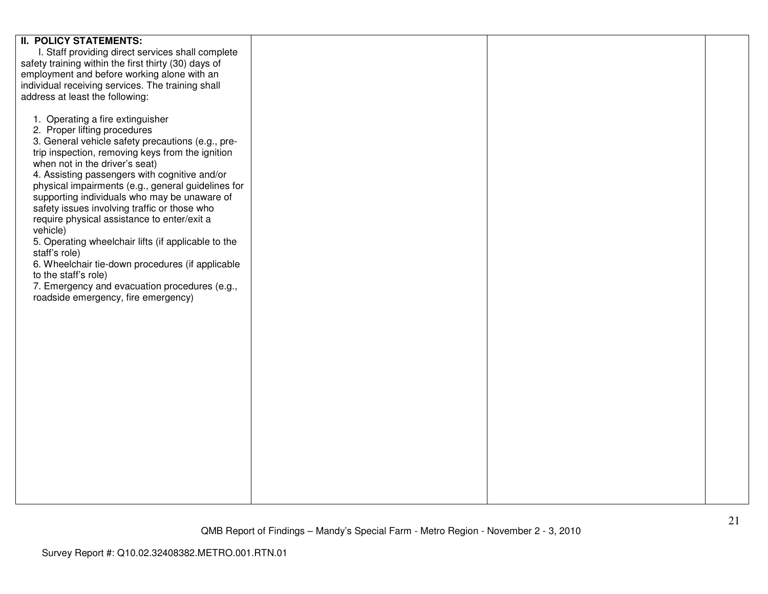| <b>II. POLICY STATEMENTS:</b>                        |  |  |
|------------------------------------------------------|--|--|
| I. Staff providing direct services shall complete    |  |  |
| safety training within the first thirty (30) days of |  |  |
|                                                      |  |  |
| employment and before working alone with an          |  |  |
| individual receiving services. The training shall    |  |  |
| address at least the following:                      |  |  |
|                                                      |  |  |
|                                                      |  |  |
| 1. Operating a fire extinguisher                     |  |  |
| 2. Proper lifting procedures                         |  |  |
| 3. General vehicle safety precautions (e.g., pre-    |  |  |
|                                                      |  |  |
| trip inspection, removing keys from the ignition     |  |  |
| when not in the driver's seat)                       |  |  |
| 4. Assisting passengers with cognitive and/or        |  |  |
| physical impairments (e.g., general guidelines for   |  |  |
| supporting individuals who may be unaware of         |  |  |
|                                                      |  |  |
| safety issues involving traffic or those who         |  |  |
| require physical assistance to enter/exit a          |  |  |
| vehicle)                                             |  |  |
| 5. Operating wheelchair lifts (if applicable to the  |  |  |
| staff's role)                                        |  |  |
|                                                      |  |  |
| 6. Wheelchair tie-down procedures (if applicable     |  |  |
| to the staff's role)                                 |  |  |
| 7. Emergency and evacuation procedures (e.g.,        |  |  |
| roadside emergency, fire emergency)                  |  |  |
|                                                      |  |  |
|                                                      |  |  |
|                                                      |  |  |
|                                                      |  |  |
|                                                      |  |  |
|                                                      |  |  |
|                                                      |  |  |
|                                                      |  |  |
|                                                      |  |  |
|                                                      |  |  |
|                                                      |  |  |
|                                                      |  |  |
|                                                      |  |  |
|                                                      |  |  |
|                                                      |  |  |
|                                                      |  |  |
|                                                      |  |  |
|                                                      |  |  |
|                                                      |  |  |
|                                                      |  |  |
|                                                      |  |  |
|                                                      |  |  |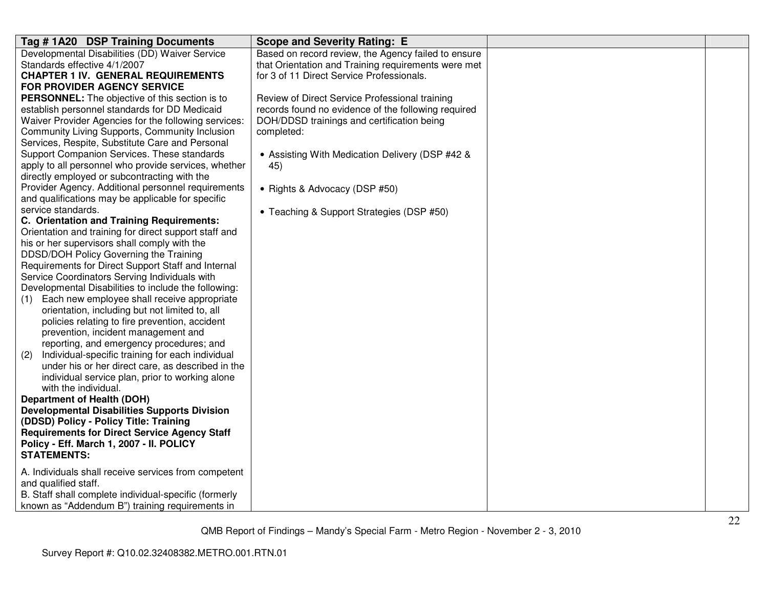| Tag #1A20 DSP Training Documents                        | <b>Scope and Severity Rating: E</b>                 |  |
|---------------------------------------------------------|-----------------------------------------------------|--|
| Developmental Disabilities (DD) Waiver Service          | Based on record review, the Agency failed to ensure |  |
| Standards effective 4/1/2007                            | that Orientation and Training requirements were met |  |
| <b>CHAPTER 1 IV. GENERAL REQUIREMENTS</b>               | for 3 of 11 Direct Service Professionals.           |  |
| <b>FOR PROVIDER AGENCY SERVICE</b>                      |                                                     |  |
| <b>PERSONNEL:</b> The objective of this section is to   | Review of Direct Service Professional training      |  |
| establish personnel standards for DD Medicaid           | records found no evidence of the following required |  |
| Waiver Provider Agencies for the following services:    | DOH/DDSD trainings and certification being          |  |
| Community Living Supports, Community Inclusion          | completed:                                          |  |
| Services, Respite, Substitute Care and Personal         |                                                     |  |
| Support Companion Services. These standards             | • Assisting With Medication Delivery (DSP #42 &     |  |
| apply to all personnel who provide services, whether    | 45)                                                 |  |
| directly employed or subcontracting with the            |                                                     |  |
| Provider Agency. Additional personnel requirements      | • Rights & Advocacy (DSP #50)                       |  |
| and qualifications may be applicable for specific       |                                                     |  |
| service standards.                                      | • Teaching & Support Strategies (DSP #50)           |  |
| C. Orientation and Training Requirements:               |                                                     |  |
| Orientation and training for direct support staff and   |                                                     |  |
| his or her supervisors shall comply with the            |                                                     |  |
| DDSD/DOH Policy Governing the Training                  |                                                     |  |
| Requirements for Direct Support Staff and Internal      |                                                     |  |
| Service Coordinators Serving Individuals with           |                                                     |  |
| Developmental Disabilities to include the following:    |                                                     |  |
| Each new employee shall receive appropriate<br>(1)      |                                                     |  |
| orientation, including but not limited to, all          |                                                     |  |
| policies relating to fire prevention, accident          |                                                     |  |
| prevention, incident management and                     |                                                     |  |
| reporting, and emergency procedures; and                |                                                     |  |
| Individual-specific training for each individual<br>(2) |                                                     |  |
| under his or her direct care, as described in the       |                                                     |  |
| individual service plan, prior to working alone         |                                                     |  |
| with the individual.                                    |                                                     |  |
| <b>Department of Health (DOH)</b>                       |                                                     |  |
| <b>Developmental Disabilities Supports Division</b>     |                                                     |  |
| (DDSD) Policy - Policy Title: Training                  |                                                     |  |
| <b>Requirements for Direct Service Agency Staff</b>     |                                                     |  |
| Policy - Eff. March 1, 2007 - II. POLICY                |                                                     |  |
| <b>STATEMENTS:</b>                                      |                                                     |  |
| A. Individuals shall receive services from competent    |                                                     |  |
| and qualified staff.                                    |                                                     |  |
| B. Staff shall complete individual-specific (formerly   |                                                     |  |
| known as "Addendum B") training requirements in         |                                                     |  |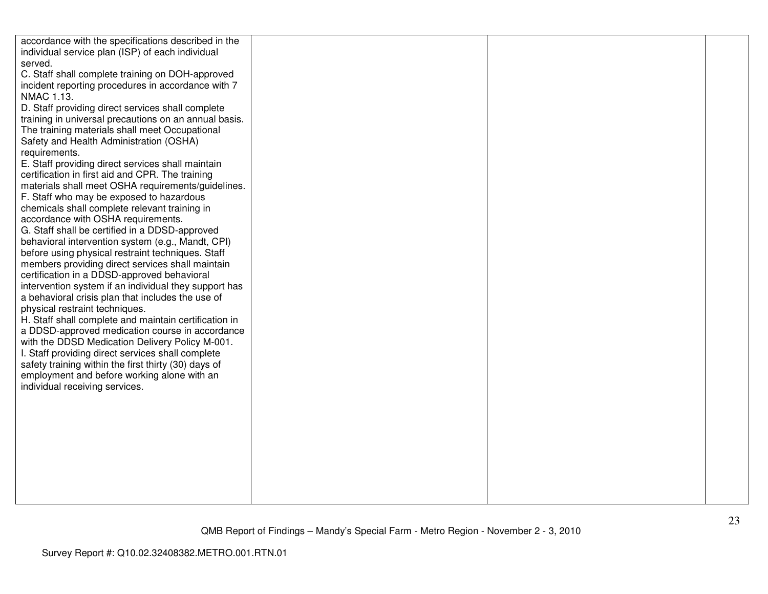| accordance with the specifications described in the   |  |  |
|-------------------------------------------------------|--|--|
| individual service plan (ISP) of each individual      |  |  |
| served.                                               |  |  |
| C. Staff shall complete training on DOH-approved      |  |  |
| incident reporting procedures in accordance with 7    |  |  |
| NMAC 1.13.                                            |  |  |
| D. Staff providing direct services shall complete     |  |  |
| training in universal precautions on an annual basis. |  |  |
| The training materials shall meet Occupational        |  |  |
| Safety and Health Administration (OSHA)               |  |  |
| requirements.                                         |  |  |
| E. Staff providing direct services shall maintain     |  |  |
| certification in first aid and CPR. The training      |  |  |
|                                                       |  |  |
| materials shall meet OSHA requirements/guidelines.    |  |  |
| F. Staff who may be exposed to hazardous              |  |  |
| chemicals shall complete relevant training in         |  |  |
| accordance with OSHA requirements.                    |  |  |
| G. Staff shall be certified in a DDSD-approved        |  |  |
| behavioral intervention system (e.g., Mandt, CPI)     |  |  |
| before using physical restraint techniques. Staff     |  |  |
| members providing direct services shall maintain      |  |  |
| certification in a DDSD-approved behavioral           |  |  |
| intervention system if an individual they support has |  |  |
| a behavioral crisis plan that includes the use of     |  |  |
| physical restraint techniques.                        |  |  |
| H. Staff shall complete and maintain certification in |  |  |
| a DDSD-approved medication course in accordance       |  |  |
| with the DDSD Medication Delivery Policy M-001.       |  |  |
| I. Staff providing direct services shall complete     |  |  |
| safety training within the first thirty (30) days of  |  |  |
| employment and before working alone with an           |  |  |
| individual receiving services.                        |  |  |
|                                                       |  |  |
|                                                       |  |  |
|                                                       |  |  |
|                                                       |  |  |
|                                                       |  |  |
|                                                       |  |  |
|                                                       |  |  |
|                                                       |  |  |
|                                                       |  |  |
|                                                       |  |  |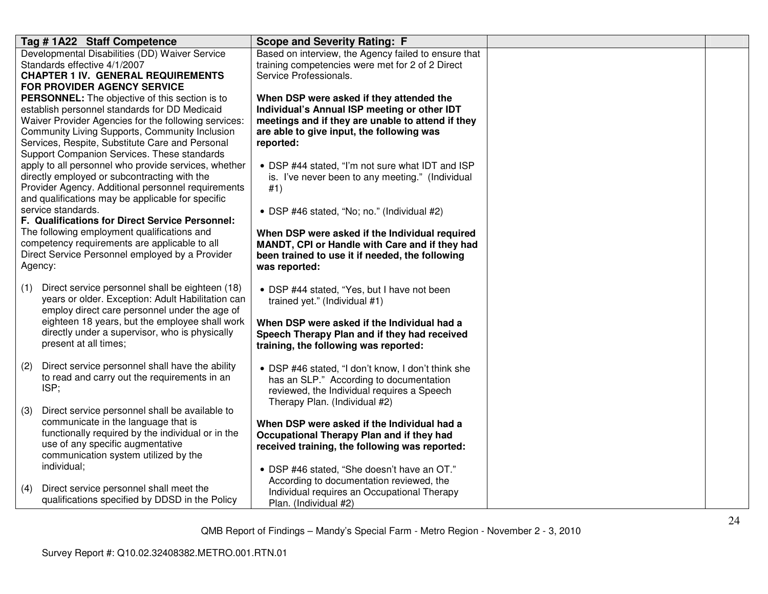| Tag #1A22 Staff Competence                                                                                                                                                                                                                                                                                  | <b>Scope and Severity Rating: F</b>                                                                                                                                                                     |  |
|-------------------------------------------------------------------------------------------------------------------------------------------------------------------------------------------------------------------------------------------------------------------------------------------------------------|---------------------------------------------------------------------------------------------------------------------------------------------------------------------------------------------------------|--|
| Developmental Disabilities (DD) Waiver Service<br>Standards effective 4/1/2007<br><b>CHAPTER 1 IV. GENERAL REQUIREMENTS</b><br><b>FOR PROVIDER AGENCY SERVICE</b>                                                                                                                                           | Based on interview, the Agency failed to ensure that<br>training competencies were met for 2 of 2 Direct<br>Service Professionals.                                                                      |  |
| PERSONNEL: The objective of this section is to<br>establish personnel standards for DD Medicaid<br>Waiver Provider Agencies for the following services:<br>Community Living Supports, Community Inclusion<br>Services, Respite, Substitute Care and Personal<br>Support Companion Services. These standards | When DSP were asked if they attended the<br>Individual's Annual ISP meeting or other IDT<br>meetings and if they are unable to attend if they<br>are able to give input, the following was<br>reported: |  |
| apply to all personnel who provide services, whether<br>directly employed or subcontracting with the<br>Provider Agency. Additional personnel requirements<br>and qualifications may be applicable for specific                                                                                             | • DSP #44 stated, "I'm not sure what IDT and ISP<br>is. I've never been to any meeting." (Individual<br>#1)                                                                                             |  |
| service standards.                                                                                                                                                                                                                                                                                          | • DSP #46 stated, "No; no." (Individual #2)                                                                                                                                                             |  |
| F. Qualifications for Direct Service Personnel:<br>The following employment qualifications and<br>competency requirements are applicable to all<br>Direct Service Personnel employed by a Provider<br>Agency:                                                                                               | When DSP were asked if the Individual required<br>MANDT, CPI or Handle with Care and if they had<br>been trained to use it if needed, the following<br>was reported:                                    |  |
| Direct service personnel shall be eighteen (18)<br>(1)<br>years or older. Exception: Adult Habilitation can<br>employ direct care personnel under the age of                                                                                                                                                | • DSP #44 stated, "Yes, but I have not been<br>trained yet." (Individual #1)                                                                                                                            |  |
| eighteen 18 years, but the employee shall work<br>directly under a supervisor, who is physically<br>present at all times;                                                                                                                                                                                   | When DSP were asked if the Individual had a<br>Speech Therapy Plan and if they had received<br>training, the following was reported:                                                                    |  |
| Direct service personnel shall have the ability<br>(2)<br>to read and carry out the requirements in an<br>ISP;                                                                                                                                                                                              | • DSP #46 stated, "I don't know, I don't think she<br>has an SLP." According to documentation<br>reviewed, the Individual requires a Speech<br>Therapy Plan. (Individual #2)                            |  |
| Direct service personnel shall be available to<br>(3)<br>communicate in the language that is<br>functionally required by the individual or in the<br>use of any specific augmentative<br>communication system utilized by the                                                                               | When DSP were asked if the Individual had a<br>Occupational Therapy Plan and if they had<br>received training, the following was reported:                                                              |  |
| individual;<br>Direct service personnel shall meet the<br>(4)<br>qualifications specified by DDSD in the Policy                                                                                                                                                                                             | • DSP #46 stated, "She doesn't have an OT."<br>According to documentation reviewed, the<br>Individual requires an Occupational Therapy<br>Plan. (Individual #2)                                         |  |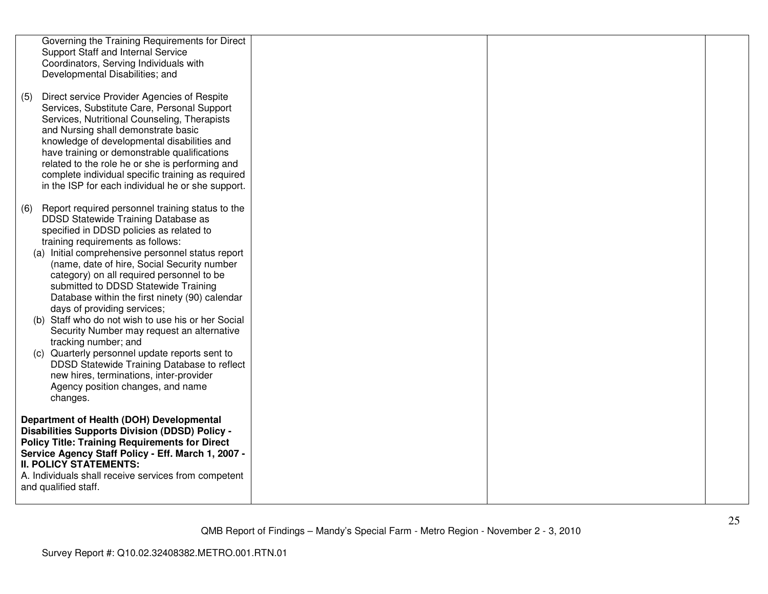|     | Governing the Training Requirements for Direct<br>Support Staff and Internal Service<br>Coordinators, Serving Individuals with                                                                                                                                                                                                                                                                                                                                                                                                                                                                                                                                                                                                                                              |  |  |
|-----|-----------------------------------------------------------------------------------------------------------------------------------------------------------------------------------------------------------------------------------------------------------------------------------------------------------------------------------------------------------------------------------------------------------------------------------------------------------------------------------------------------------------------------------------------------------------------------------------------------------------------------------------------------------------------------------------------------------------------------------------------------------------------------|--|--|
| (5) | Developmental Disabilities; and<br>Direct service Provider Agencies of Respite<br>Services, Substitute Care, Personal Support<br>Services, Nutritional Counseling, Therapists<br>and Nursing shall demonstrate basic<br>knowledge of developmental disabilities and<br>have training or demonstrable qualifications<br>related to the role he or she is performing and<br>complete individual specific training as required<br>in the ISP for each individual he or she support.                                                                                                                                                                                                                                                                                            |  |  |
| (6) | Report required personnel training status to the<br>DDSD Statewide Training Database as<br>specified in DDSD policies as related to<br>training requirements as follows:<br>(a) Initial comprehensive personnel status report<br>(name, date of hire, Social Security number<br>category) on all required personnel to be<br>submitted to DDSD Statewide Training<br>Database within the first ninety (90) calendar<br>days of providing services;<br>(b) Staff who do not wish to use his or her Social<br>Security Number may request an alternative<br>tracking number; and<br>(c) Quarterly personnel update reports sent to<br>DDSD Statewide Training Database to reflect<br>new hires, terminations, inter-provider<br>Agency position changes, and name<br>changes. |  |  |
|     | Department of Health (DOH) Developmental<br><b>Disabilities Supports Division (DDSD) Policy -</b><br><b>Policy Title: Training Requirements for Direct</b><br>Service Agency Staff Policy - Eff. March 1, 2007 -<br><b>II. POLICY STATEMENTS:</b><br>A. Individuals shall receive services from competent<br>and qualified staff.                                                                                                                                                                                                                                                                                                                                                                                                                                           |  |  |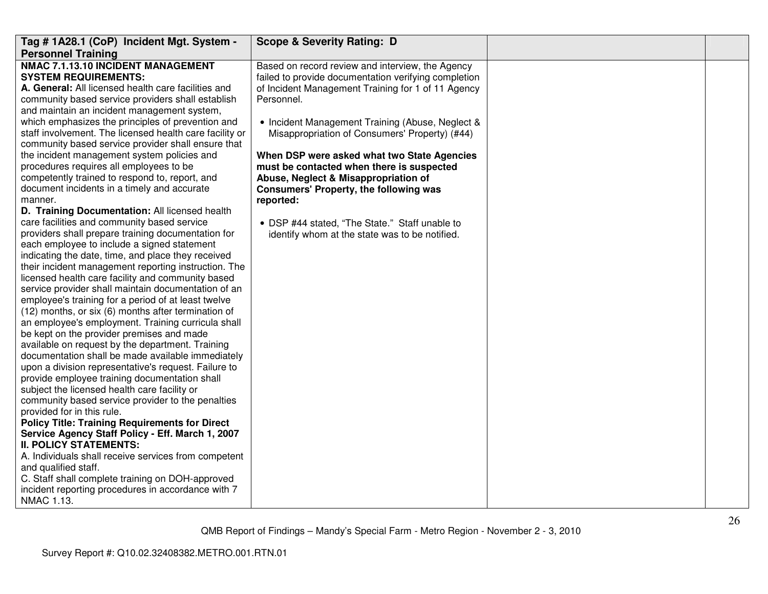| Tag # 1A28.1 (CoP) Incident Mgt. System -                                                                                                                                                                                                                                                                                                                                                                                                                                                                                                                                                                                                                                                                                                                                                                                                                                                                                                                                                                                                                                                                                                                                                                                                                                                                                                                                                                                                                                                                                                                                                                                                                                                                                                                                                                                                                                                                                                              | <b>Scope &amp; Severity Rating: D</b>                                                                                                                                                                                                                                                                                                                                                                                                                                                                                                                                             |  |
|--------------------------------------------------------------------------------------------------------------------------------------------------------------------------------------------------------------------------------------------------------------------------------------------------------------------------------------------------------------------------------------------------------------------------------------------------------------------------------------------------------------------------------------------------------------------------------------------------------------------------------------------------------------------------------------------------------------------------------------------------------------------------------------------------------------------------------------------------------------------------------------------------------------------------------------------------------------------------------------------------------------------------------------------------------------------------------------------------------------------------------------------------------------------------------------------------------------------------------------------------------------------------------------------------------------------------------------------------------------------------------------------------------------------------------------------------------------------------------------------------------------------------------------------------------------------------------------------------------------------------------------------------------------------------------------------------------------------------------------------------------------------------------------------------------------------------------------------------------------------------------------------------------------------------------------------------------|-----------------------------------------------------------------------------------------------------------------------------------------------------------------------------------------------------------------------------------------------------------------------------------------------------------------------------------------------------------------------------------------------------------------------------------------------------------------------------------------------------------------------------------------------------------------------------------|--|
| <b>Personnel Training</b>                                                                                                                                                                                                                                                                                                                                                                                                                                                                                                                                                                                                                                                                                                                                                                                                                                                                                                                                                                                                                                                                                                                                                                                                                                                                                                                                                                                                                                                                                                                                                                                                                                                                                                                                                                                                                                                                                                                              |                                                                                                                                                                                                                                                                                                                                                                                                                                                                                                                                                                                   |  |
| NMAC 7.1.13.10 INCIDENT MANAGEMENT<br><b>SYSTEM REQUIREMENTS:</b><br>A. General: All licensed health care facilities and<br>community based service providers shall establish<br>and maintain an incident management system,<br>which emphasizes the principles of prevention and<br>staff involvement. The licensed health care facility or<br>community based service provider shall ensure that<br>the incident management system policies and<br>procedures requires all employees to be<br>competently trained to respond to, report, and<br>document incidents in a timely and accurate<br>manner.<br>D. Training Documentation: All licensed health<br>care facilities and community based service<br>providers shall prepare training documentation for<br>each employee to include a signed statement<br>indicating the date, time, and place they received<br>their incident management reporting instruction. The<br>licensed health care facility and community based<br>service provider shall maintain documentation of an<br>employee's training for a period of at least twelve<br>(12) months, or six (6) months after termination of<br>an employee's employment. Training curricula shall<br>be kept on the provider premises and made<br>available on request by the department. Training<br>documentation shall be made available immediately<br>upon a division representative's request. Failure to<br>provide employee training documentation shall<br>subject the licensed health care facility or<br>community based service provider to the penalties<br>provided for in this rule.<br><b>Policy Title: Training Requirements for Direct</b><br>Service Agency Staff Policy - Eff. March 1, 2007<br><b>II. POLICY STATEMENTS:</b><br>A. Individuals shall receive services from competent<br>and qualified staff.<br>C. Staff shall complete training on DOH-approved<br>incident reporting procedures in accordance with 7 | Based on record review and interview, the Agency<br>failed to provide documentation verifying completion<br>of Incident Management Training for 1 of 11 Agency<br>Personnel.<br>• Incident Management Training (Abuse, Neglect &<br>Misappropriation of Consumers' Property) (#44)<br>When DSP were asked what two State Agencies<br>must be contacted when there is suspected<br>Abuse, Neglect & Misappropriation of<br>Consumers' Property, the following was<br>reported:<br>• DSP #44 stated. "The State." Staff unable to<br>identify whom at the state was to be notified. |  |
| NMAC 1.13.                                                                                                                                                                                                                                                                                                                                                                                                                                                                                                                                                                                                                                                                                                                                                                                                                                                                                                                                                                                                                                                                                                                                                                                                                                                                                                                                                                                                                                                                                                                                                                                                                                                                                                                                                                                                                                                                                                                                             |                                                                                                                                                                                                                                                                                                                                                                                                                                                                                                                                                                                   |  |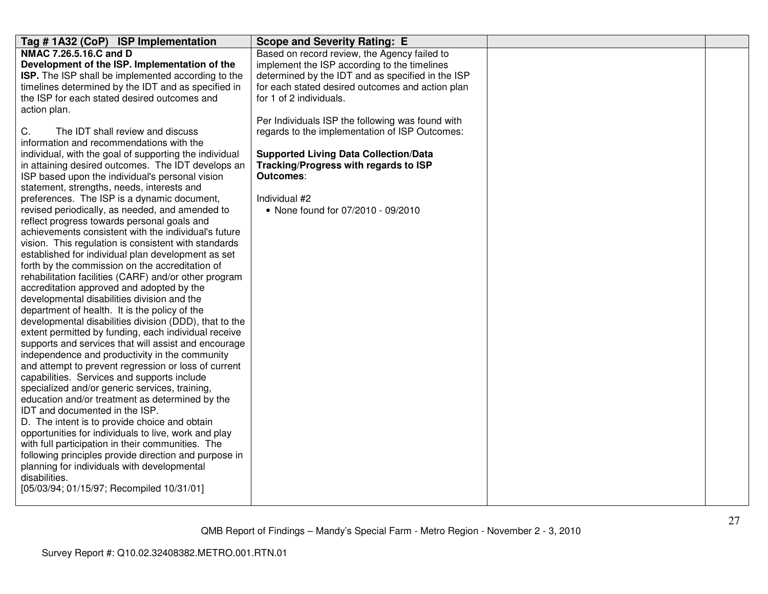| Tag #1A32 (CoP) ISP Implementation                     | <b>Scope and Severity Rating: E</b>               |  |
|--------------------------------------------------------|---------------------------------------------------|--|
| NMAC 7.26.5.16.C and D                                 | Based on record review, the Agency failed to      |  |
| Development of the ISP. Implementation of the          | implement the ISP according to the timelines      |  |
| ISP. The ISP shall be implemented according to the     | determined by the IDT and as specified in the ISP |  |
| timelines determined by the IDT and as specified in    | for each stated desired outcomes and action plan  |  |
| the ISP for each stated desired outcomes and           | for 1 of 2 individuals.                           |  |
| action plan.                                           |                                                   |  |
|                                                        | Per Individuals ISP the following was found with  |  |
| The IDT shall review and discuss<br>C.                 | regards to the implementation of ISP Outcomes:    |  |
| information and recommendations with the               |                                                   |  |
| individual, with the goal of supporting the individual | <b>Supported Living Data Collection/Data</b>      |  |
| in attaining desired outcomes. The IDT develops an     | Tracking/Progress with regards to ISP             |  |
| ISP based upon the individual's personal vision        | <b>Outcomes:</b>                                  |  |
| statement, strengths, needs, interests and             |                                                   |  |
| preferences. The ISP is a dynamic document,            | Individual #2                                     |  |
| revised periodically, as needed, and amended to        | • None found for 07/2010 - 09/2010                |  |
| reflect progress towards personal goals and            |                                                   |  |
| achievements consistent with the individual's future   |                                                   |  |
| vision. This regulation is consistent with standards   |                                                   |  |
| established for individual plan development as set     |                                                   |  |
| forth by the commission on the accreditation of        |                                                   |  |
| rehabilitation facilities (CARF) and/or other program  |                                                   |  |
| accreditation approved and adopted by the              |                                                   |  |
| developmental disabilities division and the            |                                                   |  |
| department of health. It is the policy of the          |                                                   |  |
| developmental disabilities division (DDD), that to the |                                                   |  |
| extent permitted by funding, each individual receive   |                                                   |  |
| supports and services that will assist and encourage   |                                                   |  |
| independence and productivity in the community         |                                                   |  |
| and attempt to prevent regression or loss of current   |                                                   |  |
| capabilities. Services and supports include            |                                                   |  |
| specialized and/or generic services, training,         |                                                   |  |
| education and/or treatment as determined by the        |                                                   |  |
| IDT and documented in the ISP.                         |                                                   |  |
| D. The intent is to provide choice and obtain          |                                                   |  |
| opportunities for individuals to live, work and play   |                                                   |  |
| with full participation in their communities. The      |                                                   |  |
| following principles provide direction and purpose in  |                                                   |  |
| planning for individuals with developmental            |                                                   |  |
| disabilities.                                          |                                                   |  |
| [05/03/94; 01/15/97; Recompiled 10/31/01]              |                                                   |  |
|                                                        |                                                   |  |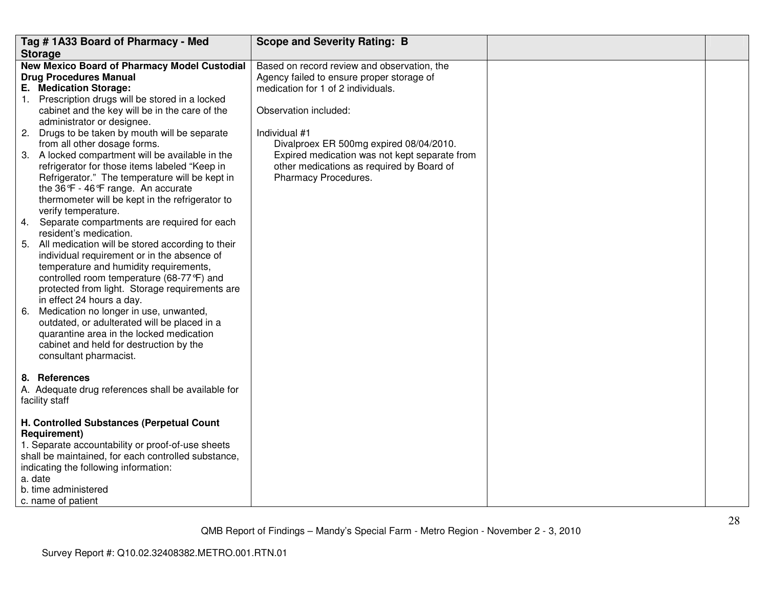|    | Tag #1A33 Board of Pharmacy - Med                                                                                                                                                                                                                                                                                                                                                                                                                                                                                                                                                      | <b>Scope and Severity Rating: B</b>                                                                                                                                                                                                                                                                                                       |  |
|----|----------------------------------------------------------------------------------------------------------------------------------------------------------------------------------------------------------------------------------------------------------------------------------------------------------------------------------------------------------------------------------------------------------------------------------------------------------------------------------------------------------------------------------------------------------------------------------------|-------------------------------------------------------------------------------------------------------------------------------------------------------------------------------------------------------------------------------------------------------------------------------------------------------------------------------------------|--|
|    | <b>Storage</b>                                                                                                                                                                                                                                                                                                                                                                                                                                                                                                                                                                         |                                                                                                                                                                                                                                                                                                                                           |  |
|    | New Mexico Board of Pharmacy Model Custodial<br><b>Drug Procedures Manual</b><br>E. Medication Storage:<br>1. Prescription drugs will be stored in a locked<br>cabinet and the key will be in the care of the<br>administrator or designee.<br>2. Drugs to be taken by mouth will be separate<br>from all other dosage forms.<br>3. A locked compartment will be available in the<br>refrigerator for those items labeled "Keep in<br>Refrigerator." The temperature will be kept in<br>the 36°F - 46°F range. An accurate<br>thermometer will be kept in the refrigerator to          | Based on record review and observation, the<br>Agency failed to ensure proper storage of<br>medication for 1 of 2 individuals.<br>Observation included:<br>Individual #1<br>Divalproex ER 500mg expired 08/04/2010.<br>Expired medication was not kept separate from<br>other medications as required by Board of<br>Pharmacy Procedures. |  |
| 6. | verify temperature.<br>4. Separate compartments are required for each<br>resident's medication.<br>5. All medication will be stored according to their<br>individual requirement or in the absence of<br>temperature and humidity requirements,<br>controlled room temperature (68-77°F) and<br>protected from light. Storage requirements are<br>in effect 24 hours a day.<br>Medication no longer in use, unwanted,<br>outdated, or adulterated will be placed in a<br>quarantine area in the locked medication<br>cabinet and held for destruction by the<br>consultant pharmacist. |                                                                                                                                                                                                                                                                                                                                           |  |
|    | 8. References<br>A. Adequate drug references shall be available for<br>facility staff                                                                                                                                                                                                                                                                                                                                                                                                                                                                                                  |                                                                                                                                                                                                                                                                                                                                           |  |
|    | H. Controlled Substances (Perpetual Count<br>Requirement)<br>1. Separate accountability or proof-of-use sheets<br>shall be maintained, for each controlled substance,<br>indicating the following information:<br>a. date<br>b. time administered<br>c. name of patient                                                                                                                                                                                                                                                                                                                |                                                                                                                                                                                                                                                                                                                                           |  |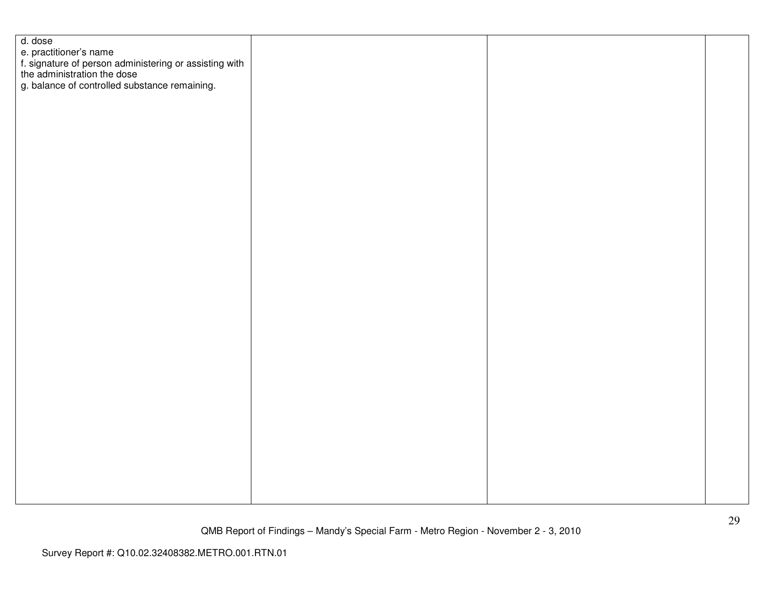| d. dose                                                                                                                                                          |  |  |
|------------------------------------------------------------------------------------------------------------------------------------------------------------------|--|--|
|                                                                                                                                                                  |  |  |
| e. practitioner's name<br>f. signature of person administering or assisting with<br>the administration the dose<br>g. balance of controlled substance remaining. |  |  |
|                                                                                                                                                                  |  |  |
|                                                                                                                                                                  |  |  |
|                                                                                                                                                                  |  |  |
|                                                                                                                                                                  |  |  |
|                                                                                                                                                                  |  |  |
|                                                                                                                                                                  |  |  |
|                                                                                                                                                                  |  |  |
|                                                                                                                                                                  |  |  |
|                                                                                                                                                                  |  |  |
|                                                                                                                                                                  |  |  |
|                                                                                                                                                                  |  |  |
|                                                                                                                                                                  |  |  |
|                                                                                                                                                                  |  |  |
|                                                                                                                                                                  |  |  |
|                                                                                                                                                                  |  |  |
|                                                                                                                                                                  |  |  |
|                                                                                                                                                                  |  |  |
|                                                                                                                                                                  |  |  |
|                                                                                                                                                                  |  |  |
|                                                                                                                                                                  |  |  |
|                                                                                                                                                                  |  |  |
|                                                                                                                                                                  |  |  |
|                                                                                                                                                                  |  |  |
|                                                                                                                                                                  |  |  |
|                                                                                                                                                                  |  |  |
|                                                                                                                                                                  |  |  |
|                                                                                                                                                                  |  |  |
|                                                                                                                                                                  |  |  |
|                                                                                                                                                                  |  |  |
|                                                                                                                                                                  |  |  |
|                                                                                                                                                                  |  |  |
|                                                                                                                                                                  |  |  |
|                                                                                                                                                                  |  |  |
|                                                                                                                                                                  |  |  |
|                                                                                                                                                                  |  |  |
|                                                                                                                                                                  |  |  |
|                                                                                                                                                                  |  |  |
|                                                                                                                                                                  |  |  |
|                                                                                                                                                                  |  |  |
|                                                                                                                                                                  |  |  |
|                                                                                                                                                                  |  |  |
|                                                                                                                                                                  |  |  |
|                                                                                                                                                                  |  |  |
|                                                                                                                                                                  |  |  |
|                                                                                                                                                                  |  |  |
|                                                                                                                                                                  |  |  |
|                                                                                                                                                                  |  |  |
|                                                                                                                                                                  |  |  |
|                                                                                                                                                                  |  |  |
|                                                                                                                                                                  |  |  |
|                                                                                                                                                                  |  |  |
|                                                                                                                                                                  |  |  |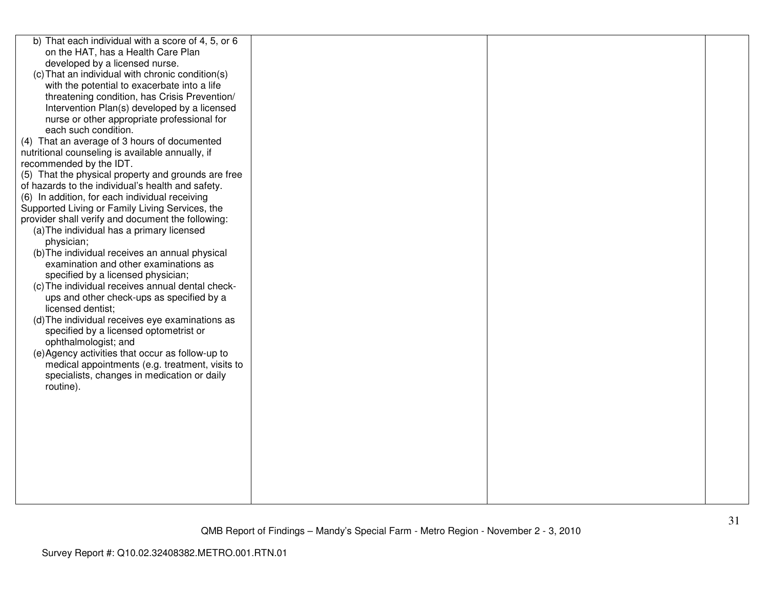| b) That each individual with a score of 4, 5, or 6  |  |  |
|-----------------------------------------------------|--|--|
| on the HAT, has a Health Care Plan                  |  |  |
| developed by a licensed nurse.                      |  |  |
| (c) That an individual with chronic condition(s)    |  |  |
| with the potential to exacerbate into a life        |  |  |
| threatening condition, has Crisis Prevention/       |  |  |
| Intervention Plan(s) developed by a licensed        |  |  |
| nurse or other appropriate professional for         |  |  |
| each such condition.                                |  |  |
| (4) That an average of 3 hours of documented        |  |  |
| nutritional counseling is available annually, if    |  |  |
| recommended by the IDT.                             |  |  |
| (5) That the physical property and grounds are free |  |  |
| of hazards to the individual's health and safety.   |  |  |
| (6) In addition, for each individual receiving      |  |  |
| Supported Living or Family Living Services, the     |  |  |
| provider shall verify and document the following:   |  |  |
| (a) The individual has a primary licensed           |  |  |
| physician;                                          |  |  |
| (b) The individual receives an annual physical      |  |  |
| examination and other examinations as               |  |  |
| specified by a licensed physician;                  |  |  |
| (c) The individual receives annual dental check-    |  |  |
| ups and other check-ups as specified by a           |  |  |
| licensed dentist;                                   |  |  |
| (d) The individual receives eye examinations as     |  |  |
| specified by a licensed optometrist or              |  |  |
| ophthalmologist; and                                |  |  |
| (e) Agency activities that occur as follow-up to    |  |  |
| medical appointments (e.g. treatment, visits to     |  |  |
| specialists, changes in medication or daily         |  |  |
| routine).                                           |  |  |
|                                                     |  |  |
|                                                     |  |  |
|                                                     |  |  |
|                                                     |  |  |
|                                                     |  |  |
|                                                     |  |  |
|                                                     |  |  |
|                                                     |  |  |
|                                                     |  |  |
|                                                     |  |  |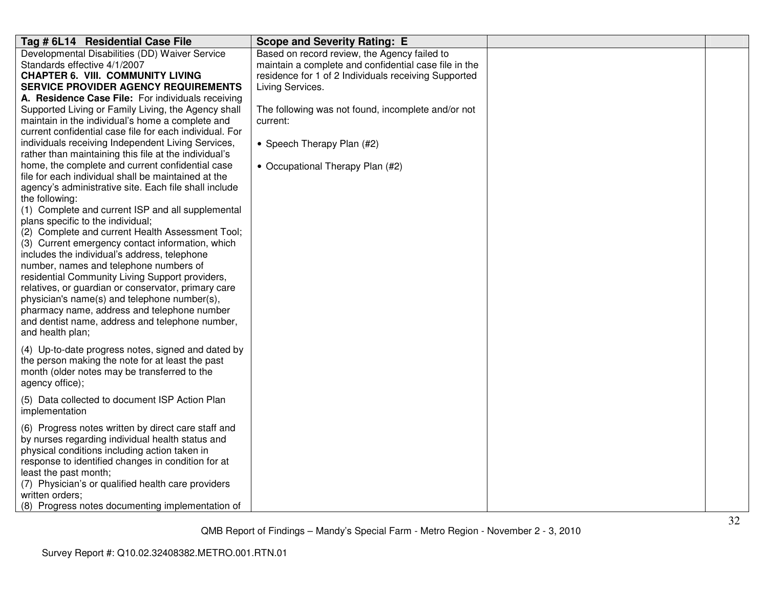| Tag # 6L14 Residential Case File                                                                                                                                                                                                                                                                                                                                                                                                                                                                                                                                                                                                                                                                                                                                                                                                                                                                                                                                                                                                                                                                                                                                                                                                                                  | <b>Scope and Severity Rating: E</b>                                                                                                                                                                                                                                                                                   |  |
|-------------------------------------------------------------------------------------------------------------------------------------------------------------------------------------------------------------------------------------------------------------------------------------------------------------------------------------------------------------------------------------------------------------------------------------------------------------------------------------------------------------------------------------------------------------------------------------------------------------------------------------------------------------------------------------------------------------------------------------------------------------------------------------------------------------------------------------------------------------------------------------------------------------------------------------------------------------------------------------------------------------------------------------------------------------------------------------------------------------------------------------------------------------------------------------------------------------------------------------------------------------------|-----------------------------------------------------------------------------------------------------------------------------------------------------------------------------------------------------------------------------------------------------------------------------------------------------------------------|--|
| Developmental Disabilities (DD) Waiver Service<br>Standards effective 4/1/2007<br><b>CHAPTER 6. VIII. COMMUNITY LIVING</b><br><b>SERVICE PROVIDER AGENCY REQUIREMENTS</b><br>A. Residence Case File: For individuals receiving<br>Supported Living or Family Living, the Agency shall<br>maintain in the individual's home a complete and<br>current confidential case file for each individual. For<br>individuals receiving Independent Living Services,<br>rather than maintaining this file at the individual's<br>home, the complete and current confidential case<br>file for each individual shall be maintained at the<br>agency's administrative site. Each file shall include<br>the following:<br>(1) Complete and current ISP and all supplemental<br>plans specific to the individual;<br>(2) Complete and current Health Assessment Tool;<br>(3) Current emergency contact information, which<br>includes the individual's address, telephone<br>number, names and telephone numbers of<br>residential Community Living Support providers,<br>relatives, or guardian or conservator, primary care<br>physician's name(s) and telephone number(s),<br>pharmacy name, address and telephone number<br>and dentist name, address and telephone number, | Based on record review, the Agency failed to<br>maintain a complete and confidential case file in the<br>residence for 1 of 2 Individuals receiving Supported<br>Living Services.<br>The following was not found, incomplete and/or not<br>current:<br>• Speech Therapy Plan (#2)<br>• Occupational Therapy Plan (#2) |  |
| and health plan;<br>(4) Up-to-date progress notes, signed and dated by<br>the person making the note for at least the past<br>month (older notes may be transferred to the<br>agency office);                                                                                                                                                                                                                                                                                                                                                                                                                                                                                                                                                                                                                                                                                                                                                                                                                                                                                                                                                                                                                                                                     |                                                                                                                                                                                                                                                                                                                       |  |
| (5) Data collected to document ISP Action Plan<br>implementation                                                                                                                                                                                                                                                                                                                                                                                                                                                                                                                                                                                                                                                                                                                                                                                                                                                                                                                                                                                                                                                                                                                                                                                                  |                                                                                                                                                                                                                                                                                                                       |  |
| (6) Progress notes written by direct care staff and<br>by nurses regarding individual health status and<br>physical conditions including action taken in<br>response to identified changes in condition for at<br>least the past month;<br>(7) Physician's or qualified health care providers<br>written orders;<br>(8) Progress notes documenting implementation of                                                                                                                                                                                                                                                                                                                                                                                                                                                                                                                                                                                                                                                                                                                                                                                                                                                                                              |                                                                                                                                                                                                                                                                                                                       |  |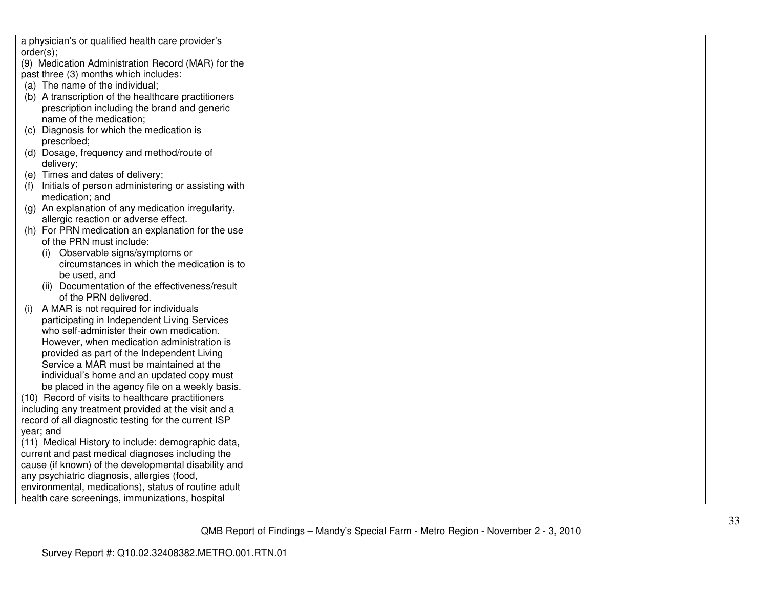|     | a physician's or qualified health care provider's                                                    |  |  |
|-----|------------------------------------------------------------------------------------------------------|--|--|
|     | order(s);                                                                                            |  |  |
|     | (9) Medication Administration Record (MAR) for the                                                   |  |  |
|     | past three (3) months which includes:                                                                |  |  |
|     | (a) The name of the individual;                                                                      |  |  |
|     | (b) A transcription of the healthcare practitioners                                                  |  |  |
|     | prescription including the brand and generic                                                         |  |  |
|     | name of the medication;                                                                              |  |  |
| (C) | Diagnosis for which the medication is                                                                |  |  |
|     | prescribed;                                                                                          |  |  |
|     | (d) Dosage, frequency and method/route of                                                            |  |  |
|     | delivery;                                                                                            |  |  |
|     | (e) Times and dates of delivery;                                                                     |  |  |
| (f) | Initials of person administering or assisting with                                                   |  |  |
|     | medication; and                                                                                      |  |  |
|     | (g) An explanation of any medication irregularity,                                                   |  |  |
|     | allergic reaction or adverse effect.                                                                 |  |  |
|     | (h) For PRN medication an explanation for the use                                                    |  |  |
|     | of the PRN must include:                                                                             |  |  |
|     | Observable signs/symptoms or<br>(i)                                                                  |  |  |
|     | circumstances in which the medication is to                                                          |  |  |
|     | be used, and                                                                                         |  |  |
|     | (ii) Documentation of the effectiveness/result                                                       |  |  |
|     | of the PRN delivered.                                                                                |  |  |
| (i) | A MAR is not required for individuals                                                                |  |  |
|     | participating in Independent Living Services                                                         |  |  |
|     | who self-administer their own medication.                                                            |  |  |
|     | However, when medication administration is                                                           |  |  |
|     | provided as part of the Independent Living                                                           |  |  |
|     | Service a MAR must be maintained at the                                                              |  |  |
|     | individual's home and an updated copy must                                                           |  |  |
|     | be placed in the agency file on a weekly basis.<br>(10) Record of visits to healthcare practitioners |  |  |
|     | including any treatment provided at the visit and a                                                  |  |  |
|     | record of all diagnostic testing for the current ISP                                                 |  |  |
|     | year; and                                                                                            |  |  |
|     | (11) Medical History to include: demographic data,                                                   |  |  |
|     | current and past medical diagnoses including the                                                     |  |  |
|     | cause (if known) of the developmental disability and                                                 |  |  |
|     | any psychiatric diagnosis, allergies (food,                                                          |  |  |
|     | environmental, medications), status of routine adult                                                 |  |  |
|     | health care screenings, immunizations, hospital                                                      |  |  |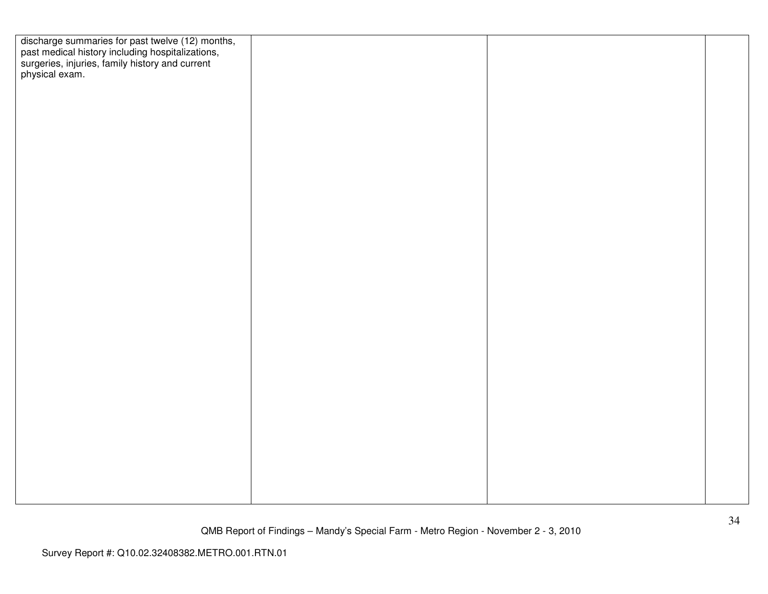| discharge summaries for past twelve (12) months,<br>past medical history including hospitalizations,<br>surgeries, injuries, family history and current<br>physical exam. |  |  |
|---------------------------------------------------------------------------------------------------------------------------------------------------------------------------|--|--|
|                                                                                                                                                                           |  |  |
|                                                                                                                                                                           |  |  |
|                                                                                                                                                                           |  |  |
|                                                                                                                                                                           |  |  |
|                                                                                                                                                                           |  |  |
|                                                                                                                                                                           |  |  |
|                                                                                                                                                                           |  |  |
|                                                                                                                                                                           |  |  |
|                                                                                                                                                                           |  |  |
|                                                                                                                                                                           |  |  |
|                                                                                                                                                                           |  |  |
|                                                                                                                                                                           |  |  |
|                                                                                                                                                                           |  |  |
|                                                                                                                                                                           |  |  |
|                                                                                                                                                                           |  |  |
|                                                                                                                                                                           |  |  |
|                                                                                                                                                                           |  |  |
|                                                                                                                                                                           |  |  |
|                                                                                                                                                                           |  |  |
|                                                                                                                                                                           |  |  |
|                                                                                                                                                                           |  |  |
|                                                                                                                                                                           |  |  |
|                                                                                                                                                                           |  |  |
|                                                                                                                                                                           |  |  |
|                                                                                                                                                                           |  |  |
|                                                                                                                                                                           |  |  |
|                                                                                                                                                                           |  |  |
|                                                                                                                                                                           |  |  |
|                                                                                                                                                                           |  |  |
|                                                                                                                                                                           |  |  |
|                                                                                                                                                                           |  |  |
|                                                                                                                                                                           |  |  |
|                                                                                                                                                                           |  |  |
|                                                                                                                                                                           |  |  |
|                                                                                                                                                                           |  |  |
|                                                                                                                                                                           |  |  |
|                                                                                                                                                                           |  |  |
|                                                                                                                                                                           |  |  |
|                                                                                                                                                                           |  |  |
|                                                                                                                                                                           |  |  |
|                                                                                                                                                                           |  |  |
|                                                                                                                                                                           |  |  |
|                                                                                                                                                                           |  |  |
|                                                                                                                                                                           |  |  |
|                                                                                                                                                                           |  |  |
|                                                                                                                                                                           |  |  |
|                                                                                                                                                                           |  |  |
|                                                                                                                                                                           |  |  |
|                                                                                                                                                                           |  |  |
|                                                                                                                                                                           |  |  |
|                                                                                                                                                                           |  |  |
|                                                                                                                                                                           |  |  |
|                                                                                                                                                                           |  |  |
|                                                                                                                                                                           |  |  |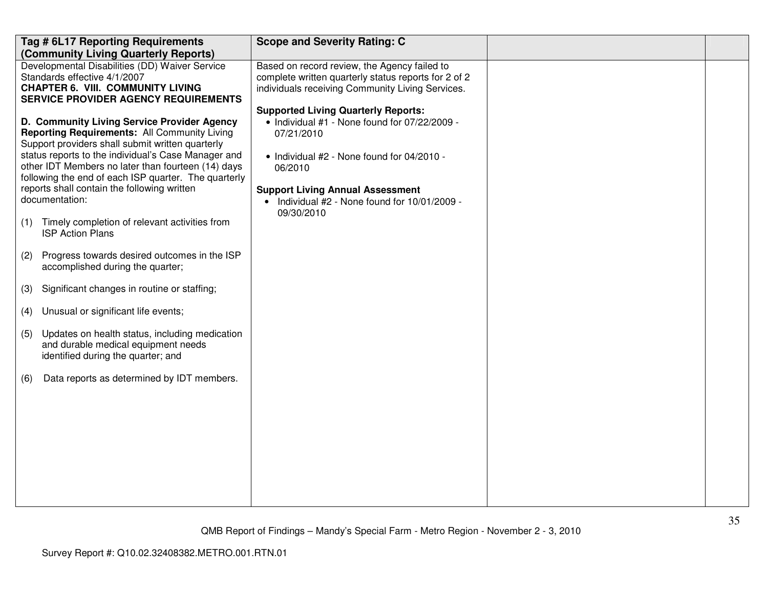| Tag # 6L17 Reporting Requirements<br>(Community Living Quarterly Reports)                                                                                                                                                                                                                                                                                                                                                                                                                                                                                                                                                                                                                                                                                                                                                                                                 | <b>Scope and Severity Rating: C</b>                                                                                                                                                                                                                                          |  |
|---------------------------------------------------------------------------------------------------------------------------------------------------------------------------------------------------------------------------------------------------------------------------------------------------------------------------------------------------------------------------------------------------------------------------------------------------------------------------------------------------------------------------------------------------------------------------------------------------------------------------------------------------------------------------------------------------------------------------------------------------------------------------------------------------------------------------------------------------------------------------|------------------------------------------------------------------------------------------------------------------------------------------------------------------------------------------------------------------------------------------------------------------------------|--|
| Developmental Disabilities (DD) Waiver Service<br>Standards effective 4/1/2007<br><b>CHAPTER 6. VIII. COMMUNITY LIVING</b><br><b>SERVICE PROVIDER AGENCY REQUIREMENTS</b>                                                                                                                                                                                                                                                                                                                                                                                                                                                                                                                                                                                                                                                                                                 | Based on record review, the Agency failed to<br>complete written quarterly status reports for 2 of 2<br>individuals receiving Community Living Services.                                                                                                                     |  |
| D. Community Living Service Provider Agency<br><b>Reporting Requirements: All Community Living</b><br>Support providers shall submit written quarterly<br>status reports to the individual's Case Manager and<br>other IDT Members no later than fourteen (14) days<br>following the end of each ISP quarter. The quarterly<br>reports shall contain the following written<br>documentation:<br>Timely completion of relevant activities from<br>(1)<br><b>ISP Action Plans</b><br>(2)<br>Progress towards desired outcomes in the ISP<br>accomplished during the quarter;<br>Significant changes in routine or staffing;<br>(3)<br>Unusual or significant life events;<br>(4)<br>Updates on health status, including medication<br>(5)<br>and durable medical equipment needs<br>identified during the quarter; and<br>Data reports as determined by IDT members.<br>(6) | <b>Supported Living Quarterly Reports:</b><br>• Individual #1 - None found for 07/22/2009 -<br>07/21/2010<br>• Individual #2 - None found for 04/2010 -<br>06/2010<br><b>Support Living Annual Assessment</b><br>• Individual #2 - None found for 10/01/2009 -<br>09/30/2010 |  |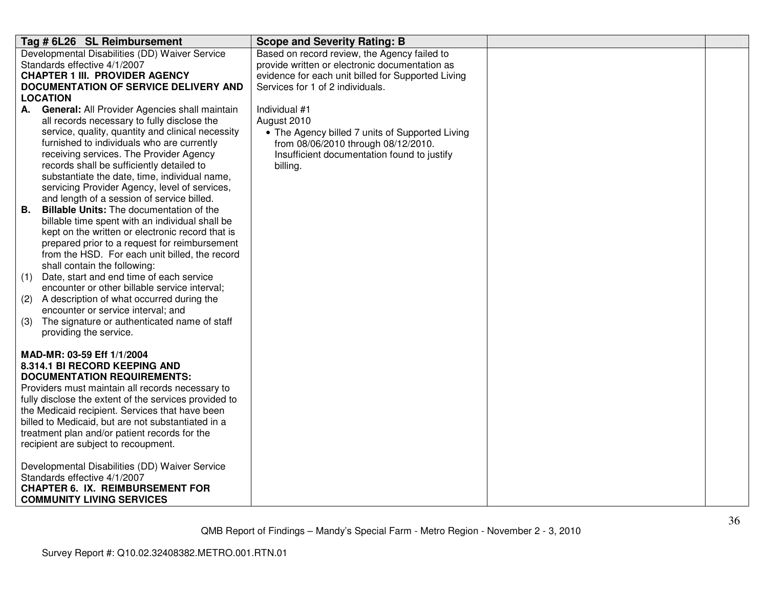| Tag # 6L26 SL Reimbursement                                                                 | <b>Scope and Severity Rating: B</b>                |  |
|---------------------------------------------------------------------------------------------|----------------------------------------------------|--|
| Developmental Disabilities (DD) Waiver Service                                              | Based on record review, the Agency failed to       |  |
| Standards effective 4/1/2007                                                                | provide written or electronic documentation as     |  |
| <b>CHAPTER 1 III. PROVIDER AGENCY</b>                                                       | evidence for each unit billed for Supported Living |  |
| <b>DOCUMENTATION OF SERVICE DELIVERY AND</b>                                                | Services for 1 of 2 individuals.                   |  |
| <b>LOCATION</b>                                                                             |                                                    |  |
| General: All Provider Agencies shall maintain<br>А.                                         | Individual #1                                      |  |
| all records necessary to fully disclose the                                                 | August 2010                                        |  |
| service, quality, quantity and clinical necessity                                           | • The Agency billed 7 units of Supported Living    |  |
| furnished to individuals who are currently                                                  | from 08/06/2010 through 08/12/2010.                |  |
| receiving services. The Provider Agency                                                     | Insufficient documentation found to justify        |  |
| records shall be sufficiently detailed to                                                   | billing.                                           |  |
| substantiate the date, time, individual name,                                               |                                                    |  |
| servicing Provider Agency, level of services,<br>and length of a session of service billed. |                                                    |  |
| <b>Billable Units:</b> The documentation of the<br>В.                                       |                                                    |  |
| billable time spent with an individual shall be                                             |                                                    |  |
| kept on the written or electronic record that is                                            |                                                    |  |
| prepared prior to a request for reimbursement                                               |                                                    |  |
| from the HSD. For each unit billed, the record                                              |                                                    |  |
| shall contain the following:                                                                |                                                    |  |
| Date, start and end time of each service<br>(1)                                             |                                                    |  |
| encounter or other billable service interval;                                               |                                                    |  |
| A description of what occurred during the<br>(2)                                            |                                                    |  |
| encounter or service interval; and                                                          |                                                    |  |
| The signature or authenticated name of staff<br>(3)                                         |                                                    |  |
| providing the service.                                                                      |                                                    |  |
| MAD-MR: 03-59 Eff 1/1/2004                                                                  |                                                    |  |
| 8.314.1 BI RECORD KEEPING AND                                                               |                                                    |  |
| <b>DOCUMENTATION REQUIREMENTS:</b>                                                          |                                                    |  |
| Providers must maintain all records necessary to                                            |                                                    |  |
| fully disclose the extent of the services provided to                                       |                                                    |  |
| the Medicaid recipient. Services that have been                                             |                                                    |  |
| billed to Medicaid, but are not substantiated in a                                          |                                                    |  |
| treatment plan and/or patient records for the                                               |                                                    |  |
| recipient are subject to recoupment.                                                        |                                                    |  |
|                                                                                             |                                                    |  |
| Developmental Disabilities (DD) Waiver Service                                              |                                                    |  |
| Standards effective 4/1/2007<br><b>CHAPTER 6. IX. REIMBURSEMENT FOR</b>                     |                                                    |  |
| <b>COMMUNITY LIVING SERVICES</b>                                                            |                                                    |  |
|                                                                                             |                                                    |  |